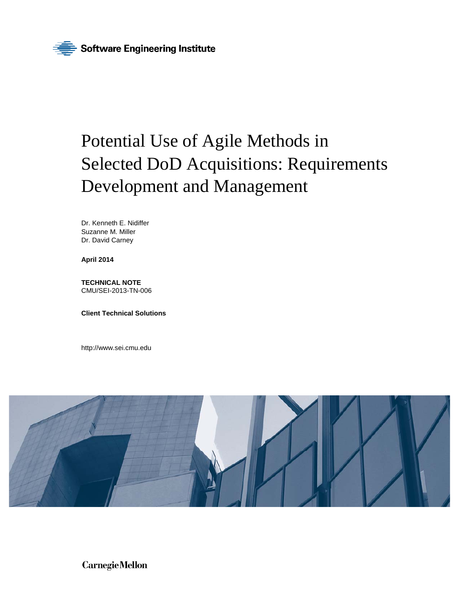

# Potential Use of Agile Methods in Selected DoD Acquisitions: Requirements Development and Management

Dr. Kenneth E. Nidiffer Suzanne M. Miller Dr. David Carney

**April 2014** 

**TECHNICAL NOTE**  CMU/SEI-2013-TN-006

**Client Technical Solutions** 

<http://www.sei.cmu.edu>



**CarnegieMellon**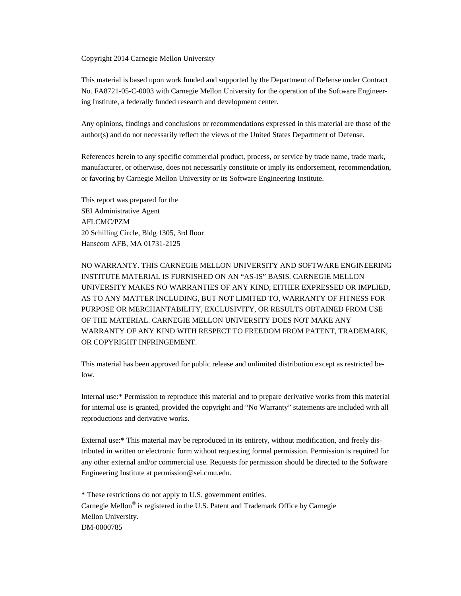Copyright 2014 Carnegie Mellon University

This material is based upon work funded and supported by the Department of Defense under Contract No. FA8721-05-C-0003 with Carnegie Mellon University for the operation of the Software Engineering Institute, a federally funded research and development center.

Any opinions, findings and conclusions or recommendations expressed in this material are those of the author(s) and do not necessarily reflect the views of the United States Department of Defense.

References herein to any specific commercial product, process, or service by trade name, trade mark, manufacturer, or otherwise, does not necessarily constitute or imply its endorsement, recommendation, or favoring by Carnegie Mellon University or its Software Engineering Institute.

This report was prepared for the SEI Administrative Agent AFLCMC/PZM 20 Schilling Circle, Bldg 1305, 3rd floor Hanscom AFB, MA 01731-2125

NO WARRANTY. THIS CARNEGIE MELLON UNIVERSITY AND SOFTWARE ENGINEERING INSTITUTE MATERIAL IS FURNISHED ON AN "AS-IS" BASIS. CARNEGIE MELLON UNIVERSITY MAKES NO WARRANTIES OF ANY KIND, EITHER EXPRESSED OR IMPLIED, AS TO ANY MATTER INCLUDING, BUT NOT LIMITED TO, WARRANTY OF FITNESS FOR PURPOSE OR MERCHANTABILITY, EXCLUSIVITY, OR RESULTS OBTAINED FROM USE OF THE MATERIAL. CARNEGIE MELLON UNIVERSITY DOES NOT MAKE ANY WARRANTY OF ANY KIND WITH RESPECT TO FREEDOM FROM PATENT, TRADEMARK, OR COPYRIGHT INFRINGEMENT.

This material has been approved for public release and unlimited distribution except as restricted below.

Internal use:\* Permission to reproduce this material and to prepare derivative works from this material for internal use is granted, provided the copyright and "No Warranty" statements are included with all reproductions and derivative works.

External use:\* This material may be reproduced in its entirety, without modification, and freely distributed in written or electronic form without requesting formal permission. Permission is required for any other external and/or commercial use. Requests for permission should be directed to the Software Engineering Institute at [permission@sei.cmu.edu.](mailto:permission@sei.cmu.edu) 

\* These restrictions do not apply to U.S. government entities. Carnegie Mellon® is registered in the U.S. Patent and Trademark Office by Carnegie Mellon University. DM-0000785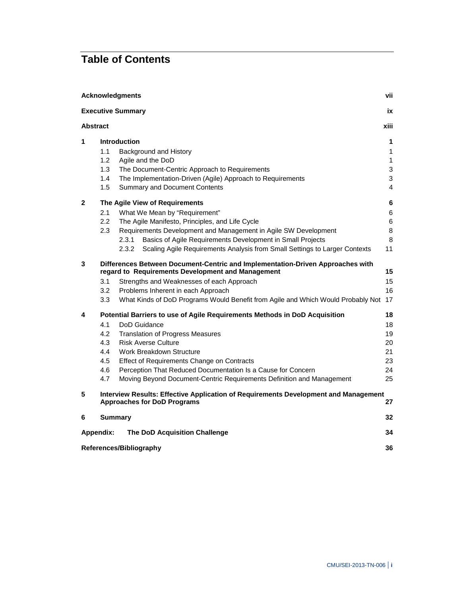# **Table of Contents**

| <b>Acknowledgments</b><br>vii  |                                                                                                                                                                                                                                                                                                                                                                                                                                         |                                                                        |  |  |
|--------------------------------|-----------------------------------------------------------------------------------------------------------------------------------------------------------------------------------------------------------------------------------------------------------------------------------------------------------------------------------------------------------------------------------------------------------------------------------------|------------------------------------------------------------------------|--|--|
| <b>Executive Summary</b><br>iх |                                                                                                                                                                                                                                                                                                                                                                                                                                         |                                                                        |  |  |
| <b>Abstract</b>                |                                                                                                                                                                                                                                                                                                                                                                                                                                         | xiii                                                                   |  |  |
| 1                              | <b>Introduction</b><br>1.1<br>Background and History<br>1.2<br>Agile and the DoD<br>1.3<br>The Document-Centric Approach to Requirements<br>1.4<br>The Implementation-Driven (Agile) Approach to Requirements<br>1.5<br><b>Summary and Document Contents</b>                                                                                                                                                                            | 1<br>1<br>$\mathbf{1}$<br>$\mathbf{3}$<br>3<br>$\overline{\mathbf{4}}$ |  |  |
| $\mathbf{2}$                   | The Agile View of Requirements<br>2.1<br>What We Mean by "Requirement"<br>2.2<br>The Agile Manifesto, Principles, and Life Cycle<br>2.3<br>Requirements Development and Management in Agile SW Development<br>Basics of Agile Requirements Development in Small Projects<br>2.3.1<br>Scaling Agile Requirements Analysis from Small Settings to Larger Contexts<br>2.3.2                                                                | 6<br>6<br>6<br>8<br>8<br>11                                            |  |  |
| 3                              | Differences Between Document-Centric and Implementation-Driven Approaches with<br>regard to Requirements Development and Management<br>3.1<br>Strengths and Weaknesses of each Approach<br>3.2<br>Problems Inherent in each Approach<br>What Kinds of DoD Programs Would Benefit from Agile and Which Would Probably Not<br>3.3                                                                                                         | 15<br>15<br>16<br>17                                                   |  |  |
| 4                              | Potential Barriers to use of Agile Requirements Methods in DoD Acquisition<br>4.1<br>DoD Guidance<br>4.2<br><b>Translation of Progress Measures</b><br>4.3<br><b>Risk Averse Culture</b><br>4.4<br>Work Breakdown Structure<br>4.5<br>Effect of Requirements Change on Contracts<br>4.6<br>Perception That Reduced Documentation Is a Cause for Concern<br>4.7<br>Moving Beyond Document-Centric Requirements Definition and Management | 18<br>18<br>19<br>20<br>21<br>23<br>24<br>25                           |  |  |
| 5                              | Interview Results: Effective Application of Requirements Development and Management<br><b>Approaches for DoD Programs</b><br>27                                                                                                                                                                                                                                                                                                         |                                                                        |  |  |
| 6                              | <b>Summary</b>                                                                                                                                                                                                                                                                                                                                                                                                                          | 32                                                                     |  |  |
| Appendix:                      | <b>The DoD Acquisition Challenge</b>                                                                                                                                                                                                                                                                                                                                                                                                    | 34                                                                     |  |  |
|                                | References/Bibliography                                                                                                                                                                                                                                                                                                                                                                                                                 | 36                                                                     |  |  |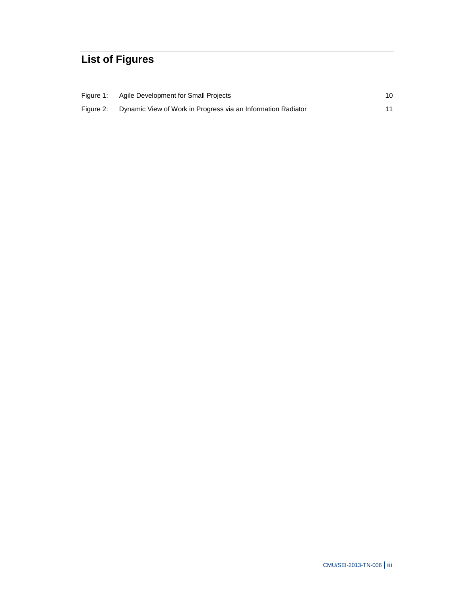# **List of Figures**

| Figure 1: | Agile Development for Small Projects                         |    |
|-----------|--------------------------------------------------------------|----|
| Figure 2: | Dynamic View of Work in Progress via an Information Radiator | 11 |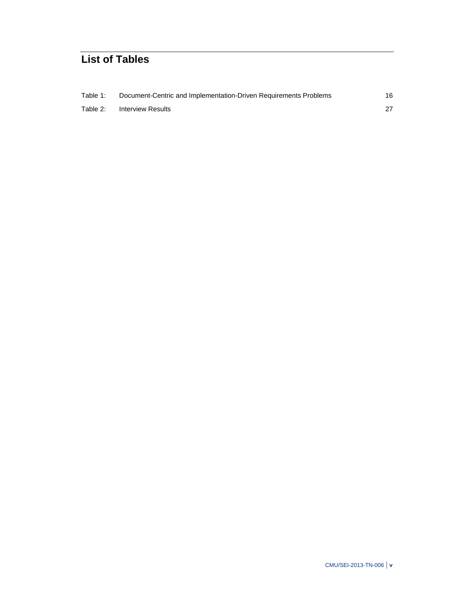# **List of Tables**

| Table 1: | Document-Centric and Implementation-Driven Requirements Problems | 16 |
|----------|------------------------------------------------------------------|----|
| Table 2: | Interview Results                                                |    |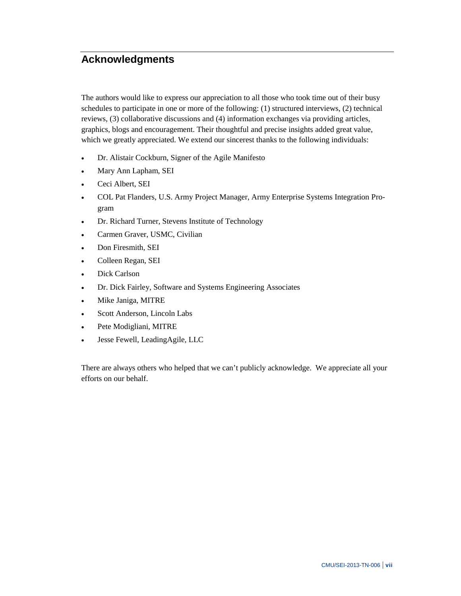### **Acknowledgments**

The authors would like to express our appreciation to all those who took time out of their busy schedules to participate in one or more of the following: (1) structured interviews, (2) technical reviews, (3) collaborative discussions and (4) information exchanges via providing articles, graphics, blogs and encouragement. Their thoughtful and precise insights added great value, which we greatly appreciated. We extend our sincerest thanks to the following individuals:

- Dr. Alistair Cockburn, Signer of the Agile Manifesto
- Mary Ann Lapham, SEI
- Ceci Albert, SEI
- COL Pat Flanders, U.S. Army Project Manager, Army Enterprise Systems Integration Program
- Dr. Richard Turner, Stevens Institute of Technology
- Carmen Graver, USMC, Civilian
- Don Firesmith, SEI
- Colleen Regan, SEI
- Dick Carlson
- Dr. Dick Fairley, Software and Systems Engineering Associates
- Mike Janiga, MITRE
- Scott Anderson, Lincoln Labs
- Pete Modigliani, MITRE
- Jesse Fewell, LeadingAgile, LLC

There are always others who helped that we can't publicly acknowledge. We appreciate all your efforts on our behalf.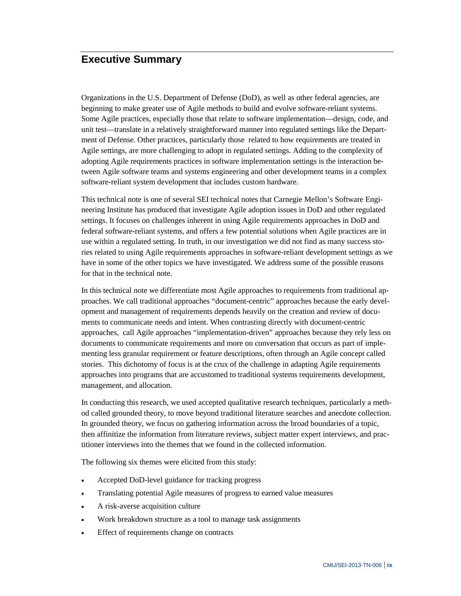### **Executive Summary**

Organizations in the U.S. Department of Defense (DoD), as well as other federal agencies, are beginning to make greater use of Agile methods to build and evolve software-reliant systems. Some Agile practices, especially those that relate to software implementation—design, code, and unit test—translate in a relatively straightforward manner into regulated settings like the Department of Defense. Other practices, particularly those related to how requirements are treated in Agile settings, are more challenging to adopt in regulated settings. Adding to the complexity of adopting Agile requirements practices in software implementation settings is the interaction between Agile software teams and systems engineering and other development teams in a complex software-reliant system development that includes custom hardware.

This technical note is one of several SEI technical notes that Carnegie Mellon's Software Engineering Institute has produced that investigate Agile adoption issues in DoD and other regulated settings. It focuses on challenges inherent in using Agile requirements approaches in DoD and federal software-reliant systems, and offers a few potential solutions when Agile practices are in use within a regulated setting. In truth, in our investigation we did not find as many success stories related to using Agile requirements approaches in software-reliant development settings as we have in some of the other topics we have investigated. We address some of the possible reasons for that in the technical note.

In this technical note we differentiate most Agile approaches to requirements from traditional approaches. We call traditional approaches "document-centric" approaches because the early development and management of requirements depends heavily on the creation and review of documents to communicate needs and intent. When contrasting directly with document-centric approaches, call Agile approaches "implementation-driven" approaches because they rely less on documents to communicate requirements and more on conversation that occurs as part of implementing less granular requirement or feature descriptions, often through an Agile concept called stories. This dichotomy of focus is at the crux of the challenge in adapting Agile requirements approaches into programs that are accustomed to traditional systems requirements development, management, and allocation.

In conducting this research, we used accepted qualitative research techniques, particularly a method called grounded theory, to move beyond traditional literature searches and anecdote collection. In grounded theory, we focus on gathering information across the broad boundaries of a topic, then affinitize the information from literature reviews, subject matter expert interviews, and practitioner interviews into the themes that we found in the collected information.

The following six themes were elicited from this study:

- Accepted DoD-level guidance for tracking progress
- Translating potential Agile measures of progress to earned value measures
- A risk-averse acquisition culture
- Work breakdown structure as a tool to manage task assignments
- Effect of requirements change on contracts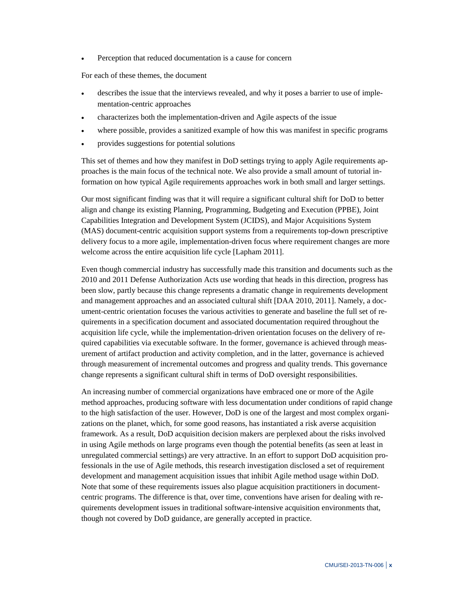Perception that reduced documentation is a cause for concern

For each of these themes, the document

- describes the issue that the interviews revealed, and why it poses a barrier to use of implementation-centric approaches
- characterizes both the implementation-driven and Agile aspects of the issue
- where possible, provides a sanitized example of how this was manifest in specific programs
- provides suggestions for potential solutions

This set of themes and how they manifest in DoD settings trying to apply Agile requirements approaches is the main focus of the technical note. We also provide a small amount of tutorial information on how typical Agile requirements approaches work in both small and larger settings.

Our most significant finding was that it will require a significant cultural shift for DoD to better align and change its existing Planning, Programming, Budgeting and Execution (PPBE), Joint Capabilities Integration and Development System (JCIDS), and Major Acquisitions System (MAS) document-centric acquisition support systems from a requirements top-down prescriptive delivery focus to a more agile, implementation-driven focus where requirement changes are more welcome across the entire acquisition life cycle [Lapham 2011].

Even though commercial industry has successfully made this transition and documents such as the 2010 and 2011 Defense Authorization Acts use wording that heads in this direction, progress has been slow, partly because this change represents a dramatic change in requirements development and management approaches and an associated cultural shift [DAA 2010, 2011]. Namely, a document-centric orientation focuses the various activities to generate and baseline the full set of requirements in a specification document and associated documentation required throughout the acquisition life cycle, while the implementation-driven orientation focuses on the delivery of required capabilities via executable software. In the former, governance is achieved through measurement of artifact production and activity completion, and in the latter, governance is achieved through measurement of incremental outcomes and progress and quality trends. This governance change represents a significant cultural shift in terms of DoD oversight responsibilities.

An increasing number of commercial organizations have embraced one or more of the Agile method approaches, producing software with less documentation under conditions of rapid change to the high satisfaction of the user. However, DoD is one of the largest and most complex organizations on the planet, which, for some good reasons, has instantiated a risk averse acquisition framework. As a result, DoD acquisition decision makers are perplexed about the risks involved in using Agile methods on large programs even though the potential benefits (as seen at least in unregulated commercial settings) are very attractive. In an effort to support DoD acquisition professionals in the use of Agile methods, this research investigation disclosed a set of requirement development and management acquisition issues that inhibit Agile method usage within DoD. Note that some of these requirements issues also plague acquisition practitioners in documentcentric programs. The difference is that, over time, conventions have arisen for dealing with requirements development issues in traditional software-intensive acquisition environments that, though not covered by DoD guidance, are generally accepted in practice.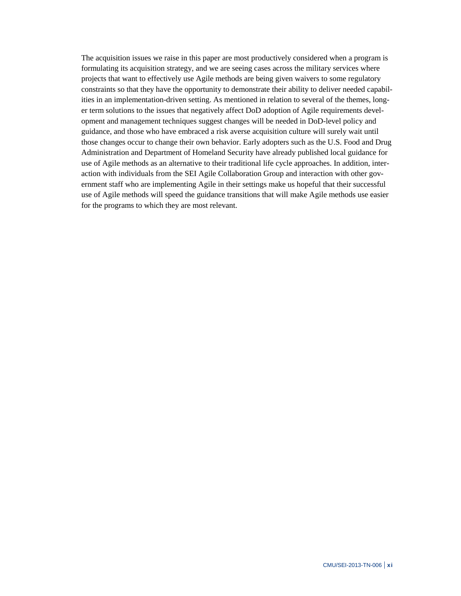The acquisition issues we raise in this paper are most productively considered when a program is formulating its acquisition strategy, and we are seeing cases across the military services where projects that want to effectively use Agile methods are being given waivers to some regulatory constraints so that they have the opportunity to demonstrate their ability to deliver needed capabilities in an implementation-driven setting. As mentioned in relation to several of the themes, longer term solutions to the issues that negatively affect DoD adoption of Agile requirements development and management techniques suggest changes will be needed in DoD-level policy and guidance, and those who have embraced a risk averse acquisition culture will surely wait until those changes occur to change their own behavior. Early adopters such as the U.S. Food and Drug Administration and Department of Homeland Security have already published local guidance for use of Agile methods as an alternative to their traditional life cycle approaches. In addition, interaction with individuals from the SEI Agile Collaboration Group and interaction with other government staff who are implementing Agile in their settings make us hopeful that their successful use of Agile methods will speed the guidance transitions that will make Agile methods use easier for the programs to which they are most relevant.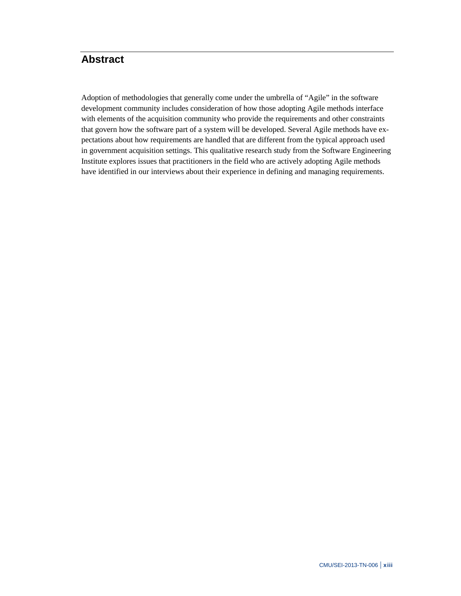### **Abstract**

Adoption of methodologies that generally come under the umbrella of "Agile" in the software development community includes consideration of how those adopting Agile methods interface with elements of the acquisition community who provide the requirements and other constraints that govern how the software part of a system will be developed. Several Agile methods have expectations about how requirements are handled that are different from the typical approach used in government acquisition settings. This qualitative research study from the Software Engineering Institute explores issues that practitioners in the field who are actively adopting Agile methods have identified in our interviews about their experience in defining and managing requirements.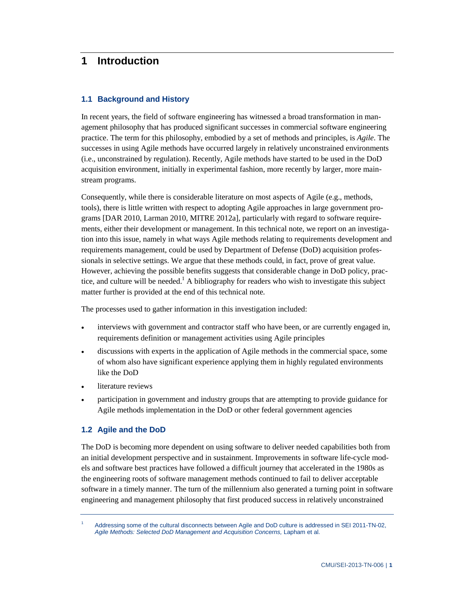### **1 Introduction**

#### **1.1 Background and History**

In recent years, the field of software engineering has witnessed a broad transformation in management philosophy that has produced significant successes in commercial software engineering practice. The term for this philosophy, embodied by a set of methods and principles, is *Agile*. The successes in using Agile methods have occurred largely in relatively unconstrained environments (i.e., unconstrained by regulation). Recently, Agile methods have started to be used in the DoD acquisition environment, initially in experimental fashion, more recently by larger, more mainstream programs.

Consequently, while there is considerable literature on most aspects of Agile (e.g., methods, tools), there is little written with respect to adopting Agile approaches in large government programs [DAR 2010, Larman 2010, MITRE 2012a], particularly with regard to software requirements, either their development or management. In this technical note, we report on an investigation into this issue, namely in what ways Agile methods relating to requirements development and requirements management, could be used by Department of Defense (DoD) acquisition professionals in selective settings. We argue that these methods could, in fact, prove of great value. However, achieving the possible benefits suggests that considerable change in DoD policy, practice, and culture will be needed.<sup>1</sup> A bibliography for readers who wish to investigate this subject matter further is provided at the end of this technical note.

The processes used to gather information in this investigation included:

- interviews with government and contractor staff who have been, or are currently engaged in, requirements definition or management activities using Agile principles
- discussions with experts in the application of Agile methods in the commercial space, some of whom also have significant experience applying them in highly regulated environments like the DoD
- literature reviews
- participation in government and industry groups that are attempting to provide guidance for Agile methods implementation in the DoD or other federal government agencies

#### **1.2 Agile and the DoD**

The DoD is becoming more dependent on using software to deliver needed capabilities both from an initial development perspective and in sustainment. Improvements in software life-cycle models and software best practices have followed a difficult journey that accelerated in the 1980s as the engineering roots of software management methods continued to fail to deliver acceptable software in a timely manner. The turn of the millennium also generated a turning point in software engineering and management philosophy that first produced success in relatively unconstrained

<sup>1</sup> Addressing some of the cultural disconnects between Agile and DoD culture is addressed in SEI 2011-TN-02, *Agile Methods: Selected DoD Management and Acquisition Concerns,* Lapham et al.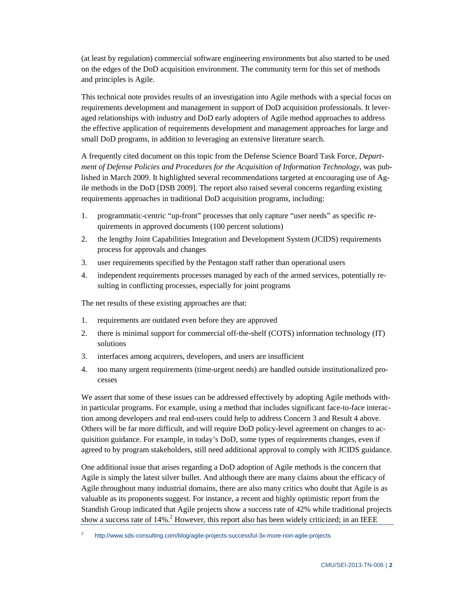(at least by regulation) commercial software engineering environments but also started to be used on the edges of the DoD acquisition environment. The community term for this set of methods and principles is Agile.

This technical note provides results of an investigation into Agile methods with a special focus on requirements development and management in support of DoD acquisition professionals. It leveraged relationships with industry and DoD early adopters of Agile method approaches to address the effective application of requirements development and management approaches for large and small DoD programs, in addition to leveraging an extensive literature search.

A frequently cited document on this topic from the Defense Science Board Task Force, *Department of Defense Policies and Procedures for the Acquisition of Information Technology*, was published in March 2009. It highlighted several recommendations targeted at encouraging use of Agile methods in the DoD [DSB 2009]. The report also raised several concerns regarding existing requirements approaches in traditional DoD acquisition programs, including:

- 1. programmatic-centric "up-front" processes that only capture "user needs" as specific requirements in approved documents (100 percent solutions)
- 2. the lengthy Joint Capabilities Integration and Development System (JCIDS) requirements process for approvals and changes
- 3. user requirements specified by the Pentagon staff rather than operational users
- 4. independent requirements processes managed by each of the armed services, potentially resulting in conflicting processes, especially for joint programs

The net results of these existing approaches are that:

- 1. requirements are outdated even before they are approved
- 2. there is minimal support for commercial off-the-shelf (COTS) information technology (IT) solutions
- 3. interfaces among acquirers, developers, and users are insufficient
- 4. too many urgent requirements (time-urgent needs) are handled outside institutionalized processes

We assert that some of these issues can be addressed effectively by adopting Agile methods within particular programs. For example, using a method that includes significant face-to-face interaction among developers and real end-users could help to address Concern 3 and Result 4 above. Others will be far more difficult, and will require DoD policy-level agreement on changes to acquisition guidance. For example, in today's DoD, some types of requirements changes, even if agreed to by program stakeholders, still need additional approval to comply with JCIDS guidance.

One additional issue that arises regarding a DoD adoption of Agile methods is the concern that Agile is simply the latest silver bullet. And although there are many claims about the efficacy of Agile throughout many industrial domains, there are also many critics who doubt that Agile is as valuable as its proponents suggest. For instance, a recent and highly optimistic report from the Standish Group indicated that Agile projects show a success rate of 42% while traditional projects show a success rate of  $14\%$ <sup>2</sup> However, this report also has been widely criticized; in an IEEE

2 <http://www.sds-consulting.com/blog/agile-projects-successful-3x-more-non-agile-projects>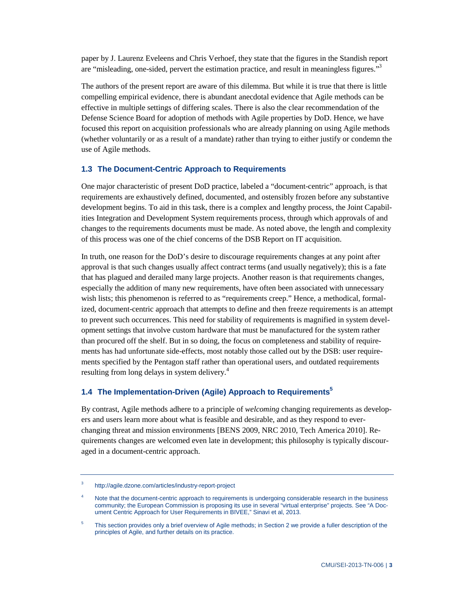paper by J. Laurenz Eveleens and Chris Verhoef, they state that the figures in the Standish report are "misleading, one-sided, pervert the estimation practice, and result in meaningless figures."<sup>3</sup>

The authors of the present report are aware of this dilemma. But while it is true that there is little compelling empirical evidence, there is abundant anecdotal evidence that Agile methods can be effective in multiple settings of differing scales. There is also the clear recommendation of the Defense Science Board for adoption of methods with Agile properties by DoD. Hence, we have focused this report on acquisition professionals who are already planning on using Agile methods (whether voluntarily or as a result of a mandate) rather than trying to either justify or condemn the use of Agile methods.

#### **1.3 The Document-Centric Approach to Requirements**

One major characteristic of present DoD practice, labeled a "document-centric" approach, is that requirements are exhaustively defined, documented, and ostensibly frozen before any substantive development begins. To aid in this task, there is a complex and lengthy process, the Joint Capabilities Integration and Development System requirements process, through which approvals of and changes to the requirements documents must be made. As noted above, the length and complexity of this process was one of the chief concerns of the DSB Report on IT acquisition.

In truth, one reason for the DoD's desire to discourage requirements changes at any point after approval is that such changes usually affect contract terms (and usually negatively); this is a fate that has plagued and derailed many large projects. Another reason is that requirements changes, especially the addition of many new requirements, have often been associated with unnecessary wish lists; this phenomenon is referred to as "requirements creep." Hence, a methodical, formalized, document-centric approach that attempts to define and then freeze requirements is an attempt to prevent such occurrences. This need for stability of requirements is magnified in system development settings that involve custom hardware that must be manufactured for the system rather than procured off the shelf. But in so doing, the focus on completeness and stability of requirements has had unfortunate side-effects, most notably those called out by the DSB: user requirements specified by the Pentagon staff rather than operational users, and outdated requirements resulting from long delays in system delivery.<sup>4</sup>

#### **1.4 The Implementation-Driven (Agile) Approach to Requirements5**

By contrast, Agile methods adhere to a principle of *welcoming* changing requirements as developers and users learn more about what is feasible and desirable, and as they respond to everchanging threat and mission environments [BENS 2009, NRC 2010, Tech America 2010]. Requirements changes are welcomed even late in development; this philosophy is typically discouraged in a document-centric approach.

<sup>3</sup> <http://agile.dzone.com/articles/industry-report-project>

<sup>4</sup> Note that the document-centric approach to requirements is undergoing considerable research in the business community; the European Commission is proposing its use in several "virtual enterprise" projects. See "A Document Centric Approach for User Requirements in BIVEE," Sinavi et al, 2013.

<sup>5</sup> This section provides only a brief overview of Agile methods; in Section 2 we provide a fuller description of the principles of Agile, and further details on its practice.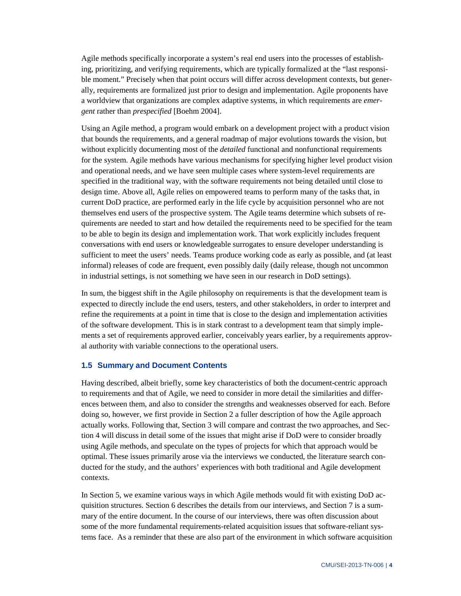Agile methods specifically incorporate a system's real end users into the processes of establishing, prioritizing, and verifying requirements, which are typically formalized at the "last responsible moment." Precisely when that point occurs will differ across development contexts, but generally, requirements are formalized just prior to design and implementation. Agile proponents have a worldview that organizations are complex adaptive systems, in which requirements are *emergent* rather than *prespecified* [Boehm 2004].

Using an Agile method, a program would embark on a development project with a product vision that bounds the requirements, and a general roadmap of major evolutions towards the vision, but without explicitly documenting most of the *detailed* functional and nonfunctional requirements for the system. Agile methods have various mechanisms for specifying higher level product vision and operational needs, and we have seen multiple cases where system-level requirements are specified in the traditional way, with the software requirements not being detailed until close to design time. Above all, Agile relies on empowered teams to perform many of the tasks that, in current DoD practice, are performed early in the life cycle by acquisition personnel who are not themselves end users of the prospective system. The Agile teams determine which subsets of requirements are needed to start and how detailed the requirements need to be specified for the team to be able to begin its design and implementation work. That work explicitly includes frequent conversations with end users or knowledgeable surrogates to ensure developer understanding is sufficient to meet the users' needs. Teams produce working code as early as possible, and (at least informal) releases of code are frequent, even possibly daily (daily release, though not uncommon in industrial settings, is not something we have seen in our research in DoD settings).

In sum, the biggest shift in the Agile philosophy on requirements is that the development team is expected to directly include the end users, testers, and other stakeholders, in order to interpret and refine the requirements at a point in time that is close to the design and implementation activities of the software development. This is in stark contrast to a development team that simply implements a set of requirements approved earlier, conceivably years earlier, by a requirements approval authority with variable connections to the operational users.

#### **1.5 Summary and Document Contents**

Having described, albeit briefly, some key characteristics of both the document-centric approach to requirements and that of Agile, we need to consider in more detail the similarities and differences between them, and also to consider the strengths and weaknesses observed for each. Before doing so, however, we first provide in Section 2 a fuller description of how the Agile approach actually works. Following that, Section 3 will compare and contrast the two approaches, and Section 4 will discuss in detail some of the issues that might arise if DoD were to consider broadly using Agile methods, and speculate on the types of projects for which that approach would be optimal. These issues primarily arose via the interviews we conducted, the literature search conducted for the study, and the authors' experiences with both traditional and Agile development contexts.

In Section 5, we examine various ways in which Agile methods would fit with existing DoD acquisition structures. Section 6 describes the details from our interviews, and Section 7 is a summary of the entire document. In the course of our interviews, there was often discussion about some of the more fundamental requirements-related acquisition issues that software-reliant systems face. As a reminder that these are also part of the environment in which software acquisition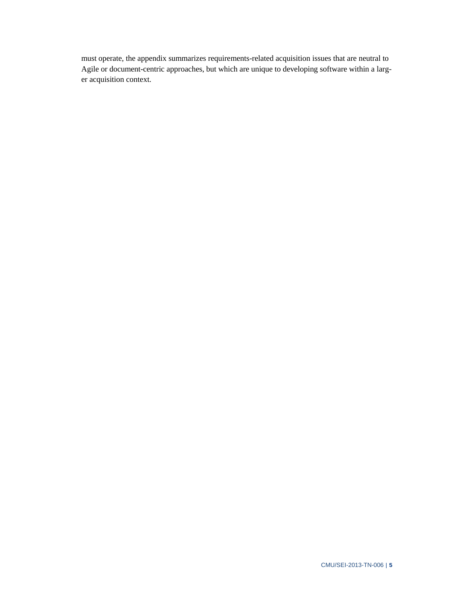must operate, the appendix summarizes requirements-related acquisition issues that are neutral to Agile or document-centric approaches, but which are unique to developing software within a larger acquisition context.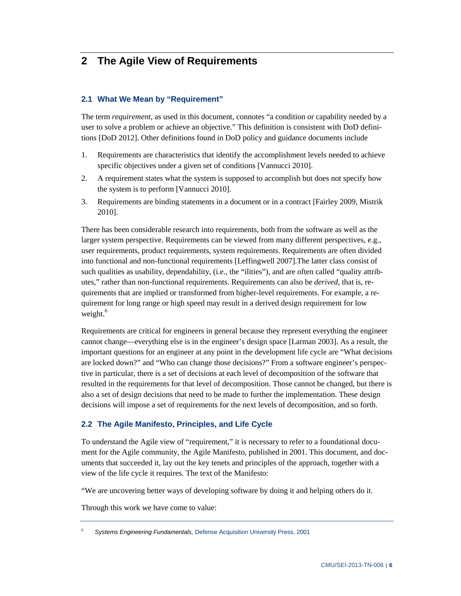### **2 The Agile View of Requirements**

#### **2.1 What We Mean by "Requirement"**

The term *requirement,* as used in this document, connotes "a condition or capability needed by a user to solve a problem or achieve an objective." This definition is consistent with DoD definitions [DoD 2012]. Other definitions found in DoD policy and guidance documents include

- 1. Requirements are characteristics that identify the accomplishment levels needed to achieve specific objectives under a given set of conditions [Vannucci 2010].
- 2. A requirement states what the system is supposed to accomplish but does not specify how the system is to perform [Vannucci 2010].
- 3. Requirements are binding statements in a document or in a contract [Fairley 2009, Mistrik 2010].

There has been considerable research into requirements, both from the software as well as the larger system perspective. Requirements can be viewed from many different perspectives, e.g., user requirements, product requirements, system requirements. Requirements are often divided into functional and non-functional requirements [Leffingwell 2007].The latter class consist of such qualities as usability, dependability, (i.e., the "ilities"), and are often called "quality attributes," rather than non-functional requirements. Requirements can also be *derived*, that is, requirements that are implied or transformed from higher-level requirements. For example, a requirement for long range or high speed may result in a derived design requirement for low weight.<sup>6</sup>

Requirements are critical for engineers in general because they represent everything the engineer cannot change—everything else is in the engineer's design space [Larman 2003]. As a result, the important questions for an engineer at any point in the development life cycle are "What decisions are locked down?" and "Who can change those decisions?" From a software engineer's perspective in particular, there is a set of decisions at each level of decomposition of the software that resulted in the requirements for that level of decomposition. Those cannot be changed, but there is also a set of design decisions that need to be made to further the implementation. These design decisions will impose a set of requirements for the next levels of decomposition, and so forth.

#### **2.2 The Agile Manifesto, Principles, and Life Cycle**

To understand the Agile view of "requirement," it is necessary to refer to a foundational document for the Agile community, the Agile Manifesto, published in 2001. This document, and documents that succeeded it, lay out the key tenets and principles of the approach, together with a view of the life cycle it requires. The text of the Manifesto:

"We are uncovering better ways of developing software by doing it and helping others do it.

Through this work we have come to value:

<sup>6</sup> *Systems Engineering Fundamentals,* Defense Acquisition University Press, 2001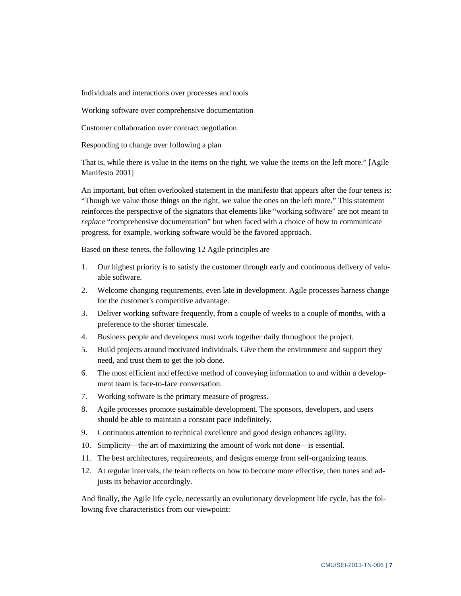Individuals and interactions over processes and tools

Working software over comprehensive documentation

Customer collaboration over contract negotiation

Responding to change over following a plan

That is, while there is value in the items on the right, we value the items on the left more." [Agile Manifesto 2001]

An important, but often overlooked statement in the manifesto that appears after the four tenets is: "Though we value those things on the right, we value the ones on the left more." This statement reinforces the perspective of the signators that elements like "working software" are not meant to *replace* "comprehensive documentation" but when faced with a choice of how to communicate progress, for example, working software would be the favored approach.

Based on these tenets, the following 12 Agile principles are

- 1. Our highest priority is to satisfy the customer through early and continuous delivery of valuable software.
- 2. Welcome changing requirements, even late in development. Agile processes harness change for the customer's competitive advantage.
- 3. Deliver working software frequently, from a couple of weeks to a couple of months, with a preference to the shorter timescale.
- 4. Business people and developers must work together daily throughout the project.
- 5. Build projects around motivated individuals. Give them the environment and support they need, and trust them to get the job done.
- 6. The most efficient and effective method of conveying information to and within a development team is face-to-face conversation.
- 7. Working software is the primary measure of progress.
- 8. Agile processes promote sustainable development. The sponsors, developers, and users should be able to maintain a constant pace indefinitely.
- 9. Continuous attention to technical excellence and good design enhances agility.
- 10. Simplicity—the art of maximizing the amount of work not done—is essential.
- 11. The best architectures, requirements, and designs emerge from self-organizing teams.
- 12. At regular intervals, the team reflects on how to become more effective, then tunes and adjusts its behavior accordingly.

And finally, the Agile life cycle, necessarily an evolutionary development life cycle, has the following five characteristics from our viewpoint: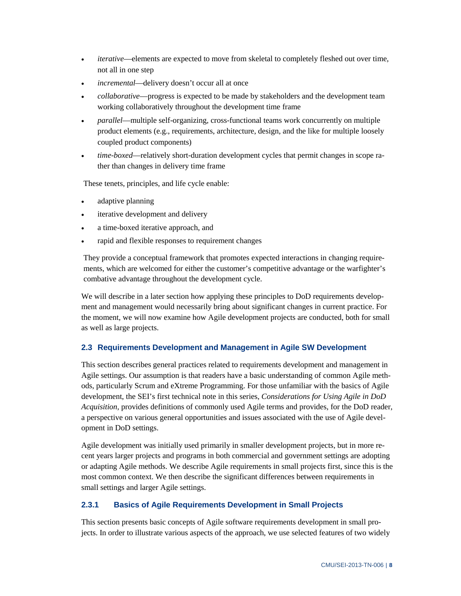- *iterative*—elements are expected to move from skeletal to completely fleshed out over time, not all in one step
- *incremental*—delivery doesn't occur all at once
- *collaborative*—progress is expected to be made by stakeholders and the development team working collaboratively throughout the development time frame
- *parallel*—multiple self-organizing, cross-functional teams work concurrently on multiple product elements (e.g., requirements, architecture, design, and the like for multiple loosely coupled product components)
- *time-boxed*—relatively short-duration development cycles that permit changes in scope rather than changes in delivery time frame

These tenets, principles, and life cycle enable:

- adaptive planning
- iterative development and delivery
- a time-boxed iterative approach, and
- rapid and flexible responses to requirement changes

They provide a conceptual framework that promotes expected interactions in changing requirements, which are welcomed for either the customer's competitive advantage or the warfighter's combative advantage throughout the development cycle.

We will describe in a later section how applying these principles to DoD requirements development and management would necessarily bring about significant changes in current practice. For the moment, we will now examine how Agile development projects are conducted, both for small as well as large projects.

#### **2.3 Requirements Development and Management in Agile SW Development**

This section describes general practices related to requirements development and management in Agile settings. Our assumption is that readers have a basic understanding of common Agile methods, particularly Scrum and eXtreme Programming. For those unfamiliar with the basics of Agile development, the SEI's first technical note in this series, *Considerations for Using Agile in DoD Acquisition,* provides definitions of commonly used Agile terms and provides, for the DoD reader, a perspective on various general opportunities and issues associated with the use of Agile development in DoD settings.

Agile development was initially used primarily in smaller development projects, but in more recent years larger projects and programs in both commercial and government settings are adopting or adapting Agile methods. We describe Agile requirements in small projects first, since this is the most common context. We then describe the significant differences between requirements in small settings and larger Agile settings.

#### **2.3.1 Basics of Agile Requirements Development in Small Projects**

This section presents basic concepts of Agile software requirements development in small projects. In order to illustrate various aspects of the approach, we use selected features of two widely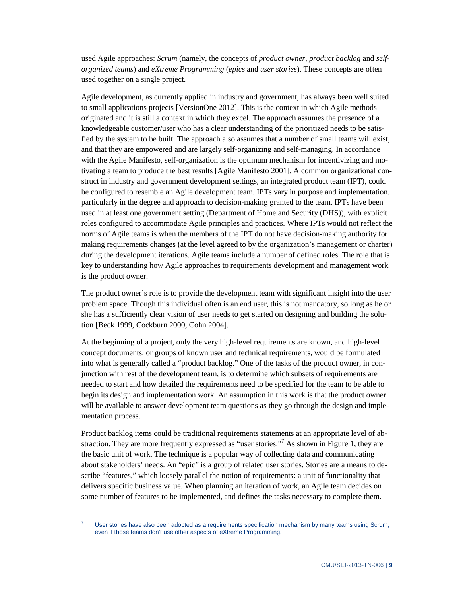used Agile approaches: *Scrum* (namely, the concepts of *product owner*, *product backlog* and *selforganized teams*) and *eXtreme Programming* (*epics* and *user stories*). These concepts are often used together on a single project.

Agile development, as currently applied in industry and government, has always been well suited to small applications projects [VersionOne 2012]. This is the context in which Agile methods originated and it is still a context in which they excel. The approach assumes the presence of a knowledgeable customer/user who has a clear understanding of the prioritized needs to be satisfied by the system to be built. The approach also assumes that a number of small teams will exist, and that they are empowered and are largely self-organizing and self-managing. In accordance with the Agile Manifesto, self-organization is the optimum mechanism for incentivizing and motivating a team to produce the best results [Agile Manifesto 2001]. A common organizational construct in industry and government development settings, an integrated product team (IPT), could be configured to resemble an Agile development team. IPTs vary in purpose and implementation, particularly in the degree and approach to decision-making granted to the team. IPTs have been used in at least one government setting (Department of Homeland Security (DHS)), with explicit roles configured to accommodate Agile principles and practices. Where IPTs would not reflect the norms of Agile teams is when the members of the IPT do not have decision-making authority for making requirements changes (at the level agreed to by the organization's management or charter) during the development iterations. Agile teams include a number of defined roles. The role that is key to understanding how Agile approaches to requirements development and management work is the product owner.

The product owner's role is to provide the development team with significant insight into the user problem space. Though this individual often is an end user, this is not mandatory, so long as he or she has a sufficiently clear vision of user needs to get started on designing and building the solution [Beck 1999, Cockburn 2000, Cohn 2004].

At the beginning of a project, only the very high-level requirements are known, and high-level concept documents, or groups of known user and technical requirements, would be formulated into what is generally called a "product backlog." One of the tasks of the product owner, in conjunction with rest of the development team, is to determine which subsets of requirements are needed to start and how detailed the requirements need to be specified for the team to be able to begin its design and implementation work. An assumption in this work is that the product owner will be available to answer development team questions as they go through the design and implementation process.

Product backlog items could be traditional requirements statements at an appropriate level of abstraction. They are more frequently expressed as "user stories."<sup>7</sup> As shown in Figure 1, they are the basic unit of work. The technique is a popular way of collecting data and communicating about stakeholders' needs. An "epic" is a group of related user stories. Stories are a means to describe "features," which loosely parallel the notion of requirements: a unit of functionality that delivers specific business value. When planning an iteration of work, an Agile team decides on some number of features to be implemented, and defines the tasks necessary to complete them.

User stories have also been adopted as a requirements specification mechanism by many teams using Scrum, even if those teams don't use other aspects of eXtreme Programming.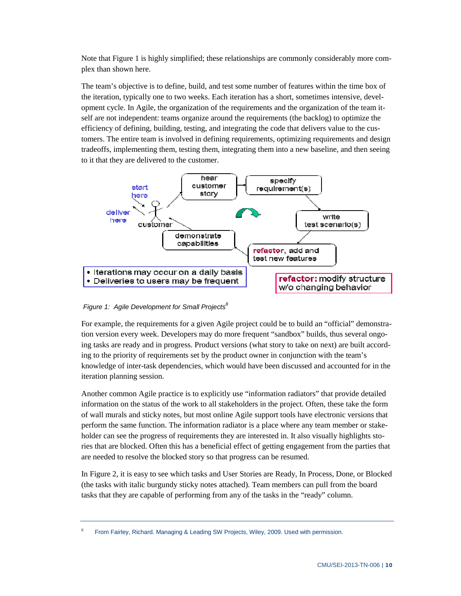Note that Figure 1 is highly simplified; these relationships are commonly considerably more complex than shown here.

The team's objective is to define, build, and test some number of features within the time box of the iteration, typically one to two weeks. Each iteration has a short, sometimes intensive, development cycle. In Agile, the organization of the requirements and the organization of the team itself are not independent: teams organize around the requirements (the backlog) to optimize the efficiency of defining, building, testing, and integrating the code that delivers value to the customers. The entire team is involved in defining requirements, optimizing requirements and design tradeoffs, implementing them, testing them, integrating them into a new baseline, and then seeing to it that they are delivered to the customer.



*Figure 1: Agile Development for Small Projects*<sup>8</sup>

For example, the requirements for a given Agile project could be to build an "official" demonstration version every week. Developers may do more frequent "sandbox" builds, thus several ongoing tasks are ready and in progress. Product versions (what story to take on next) are built according to the priority of requirements set by the product owner in conjunction with the team's knowledge of inter-task dependencies, which would have been discussed and accounted for in the iteration planning session.

Another common Agile practice is to explicitly use "information radiators" that provide detailed information on the status of the work to all stakeholders in the project. Often, these take the form of wall murals and sticky notes, but most online Agile support tools have electronic versions that perform the same function. The information radiator is a place where any team member or stakeholder can see the progress of requirements they are interested in. It also visually highlights stories that are blocked. Often this has a beneficial effect of getting engagement from the parties that are needed to resolve the blocked story so that progress can be resumed.

In Figure 2, it is easy to see which tasks and User Stories are Ready, In Process, Done, or Blocked (the tasks with italic burgundy sticky notes attached). Team members can pull from the board tasks that they are capable of performing from any of the tasks in the "ready" column.

<sup>8</sup> From Fairley, Richard. Managing & Leading SW Projects, Wiley, 2009. Used with permission.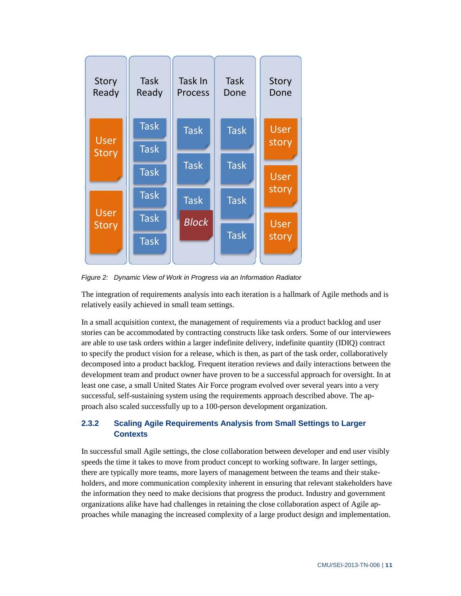

*Figure 2: Dynamic View of Work in Progress via an Information Radiator* 

The integration of requirements analysis into each iteration is a hallmark of Agile methods and is relatively easily achieved in small team settings.

In a small acquisition context, the management of requirements via a product backlog and user stories can be accommodated by contracting constructs like task orders. Some of our interviewees are able to use task orders within a larger indefinite delivery, indefinite quantity (IDIQ) contract to specify the product vision for a release, which is then, as part of the task order, collaboratively decomposed into a product backlog. Frequent iteration reviews and daily interactions between the development team and product owner have proven to be a successful approach for oversight. In at least one case, a small United States Air Force program evolved over several years into a very successful, self-sustaining system using the requirements approach described above. The approach also scaled successfully up to a 100-person development organization.

#### **2.3.2 Scaling Agile Requirements Analysis from Small Settings to Larger Contexts**

In successful small Agile settings, the close collaboration between developer and end user visibly speeds the time it takes to move from product concept to working software. In larger settings, there are typically more teams, more layers of management between the teams and their stakeholders, and more communication complexity inherent in ensuring that relevant stakeholders have the information they need to make decisions that progress the product. Industry and government organizations alike have had challenges in retaining the close collaboration aspect of Agile approaches while managing the increased complexity of a large product design and implementation.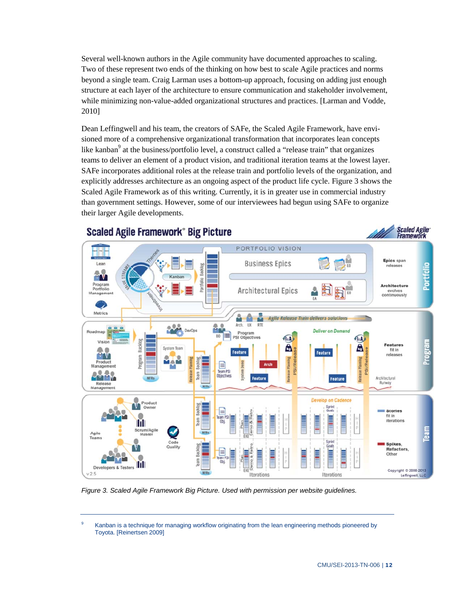Several well-known authors in the Agile community have documented approaches to scaling. Two of these represent two ends of the thinking on how best to scale Agile practices and norms beyond a single team. Craig Larman uses a bottom-up approach, focusing on adding just enough structure at each layer of the architecture to ensure communication and stakeholder involvement, while minimizing non-value-added organizational structures and practices. [Larman and Vodde, 2010]

Dean Leffingwell and his team, the creators of SAFe, the Scaled Agile Framework, have envisioned more of a comprehensive organizational transformation that incorporates lean concepts like kanban<sup>9</sup> at the business/portfolio level, a construct called a "release train" that organizes teams to deliver an element of a product vision, and traditional iteration teams at the lowest layer. SAFe incorporates additional roles at the release train and portfolio levels of the organization, and explicitly addresses architecture as an ongoing aspect of the product life cycle. Figure 3 shows the Scaled Agile Framework as of this writing. Currently, it is in greater use in commercial industry than government settings. However, some of our interviewees had begun using SAFe to organize their larger Agile developments.



*Figure 3. Scaled Agile Framework Big Picture. Used with permission per website guidelines.* 

<sup>9</sup> Kanban is a technique for managing workflow originating from the lean engineering methods pioneered by Toyota. [Reinertsen 2009]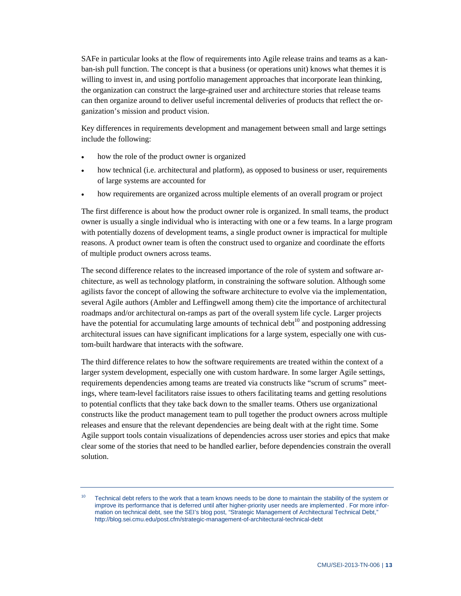SAFe in particular looks at the flow of requirements into Agile release trains and teams as a kanban-ish pull function. The concept is that a business (or operations unit) knows what themes it is willing to invest in, and using portfolio management approaches that incorporate lean thinking, the organization can construct the large-grained user and architecture stories that release teams can then organize around to deliver useful incremental deliveries of products that reflect the organization's mission and product vision.

Key differences in requirements development and management between small and large settings include the following:

- how the role of the product owner is organized
- how technical (i.e. architectural and platform), as opposed to business or user, requirements of large systems are accounted for
- how requirements are organized across multiple elements of an overall program or project

The first difference is about how the product owner role is organized. In small teams, the product owner is usually a single individual who is interacting with one or a few teams. In a large program with potentially dozens of development teams, a single product owner is impractical for multiple reasons. A product owner team is often the construct used to organize and coordinate the efforts of multiple product owners across teams.

The second difference relates to the increased importance of the role of system and software architecture, as well as technology platform, in constraining the software solution. Although some agilists favor the concept of allowing the software architecture to evolve via the implementation, several Agile authors (Ambler and Leffingwell among them) cite the importance of architectural roadmaps and/or architectural on-ramps as part of the overall system life cycle. Larger projects have the potential for accumulating large amounts of technical debt<sup>10</sup> and postponing addressing architectural issues can have significant implications for a large system, especially one with custom-built hardware that interacts with the software.

The third difference relates to how the software requirements are treated within the context of a larger system development, especially one with custom hardware. In some larger Agile settings, requirements dependencies among teams are treated via constructs like "scrum of scrums" meetings, where team-level facilitators raise issues to others facilitating teams and getting resolutions to potential conflicts that they take back down to the smaller teams. Others use organizational constructs like the product management team to pull together the product owners across multiple releases and ensure that the relevant dependencies are being dealt with at the right time. Some Agile support tools contain visualizations of dependencies across user stories and epics that make clear some of the stories that need to be handled earlier, before dependencies constrain the overall solution.

 $10$  Technical debt refers to the work that a team knows needs to be done to maintain the stability of the system or improve its performance that is deferred until after higher-priority user needs are implemented . For more information on technical debt, see the SEI's blog post, "Strategic Management of Architectural Technical Debt," <http://blog.sei.cmu.edu/post.cfm/strategic-management-of-architectural-technical-debt>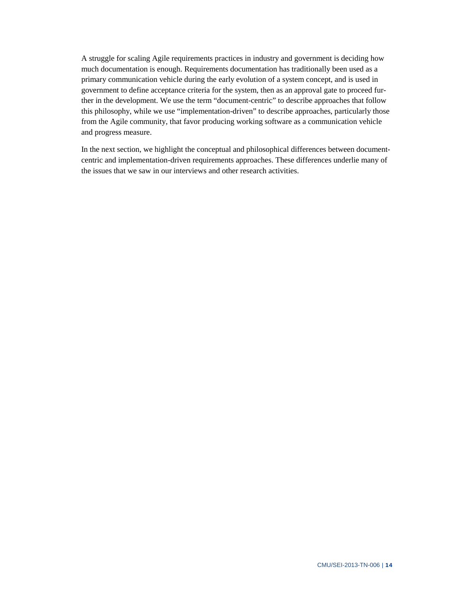A struggle for scaling Agile requirements practices in industry and government is deciding how much documentation is enough. Requirements documentation has traditionally been used as a primary communication vehicle during the early evolution of a system concept, and is used in government to define acceptance criteria for the system, then as an approval gate to proceed further in the development. We use the term "document-centric" to describe approaches that follow this philosophy, while we use "implementation-driven" to describe approaches, particularly those from the Agile community, that favor producing working software as a communication vehicle and progress measure.

In the next section, we highlight the conceptual and philosophical differences between documentcentric and implementation-driven requirements approaches. These differences underlie many of the issues that we saw in our interviews and other research activities.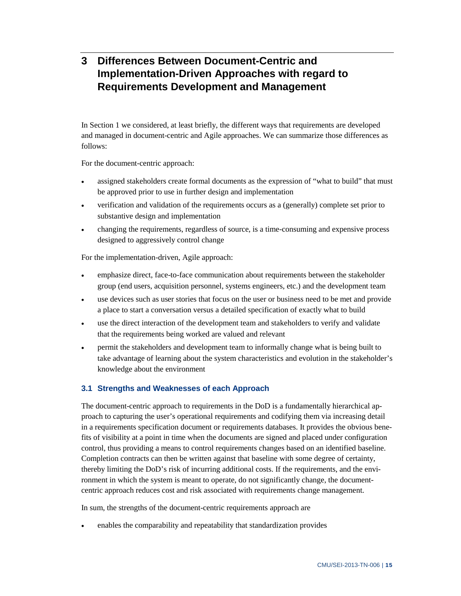### **3 Differences Between Document-Centric and Implementation-Driven Approaches with regard to Requirements Development and Management**

In Section 1 we considered, at least briefly, the different ways that requirements are developed and managed in document-centric and Agile approaches. We can summarize those differences as follows:

For the document-centric approach:

- assigned stakeholders create formal documents as the expression of "what to build" that must be approved prior to use in further design and implementation
- verification and validation of the requirements occurs as a (generally) complete set prior to substantive design and implementation
- changing the requirements, regardless of source, is a time-consuming and expensive process designed to aggressively control change

For the implementation-driven, Agile approach:

- emphasize direct, face-to-face communication about requirements between the stakeholder group (end users, acquisition personnel, systems engineers, etc.) and the development team
- use devices such as user stories that focus on the user or business need to be met and provide a place to start a conversation versus a detailed specification of exactly what to build
- use the direct interaction of the development team and stakeholders to verify and validate that the requirements being worked are valued and relevant
- permit the stakeholders and development team to informally change what is being built to take advantage of learning about the system characteristics and evolution in the stakeholder's knowledge about the environment

#### **3.1 Strengths and Weaknesses of each Approach**

The document-centric approach to requirements in the DoD is a fundamentally hierarchical approach to capturing the user's operational requirements and codifying them via increasing detail in a requirements specification document or requirements databases. It provides the obvious benefits of visibility at a point in time when the documents are signed and placed under configuration control, thus providing a means to control requirements changes based on an identified baseline. Completion contracts can then be written against that baseline with some degree of certainty, thereby limiting the DoD's risk of incurring additional costs. If the requirements, and the environment in which the system is meant to operate, do not significantly change, the documentcentric approach reduces cost and risk associated with requirements change management.

In sum, the strengths of the document-centric requirements approach are

enables the comparability and repeatability that standardization provides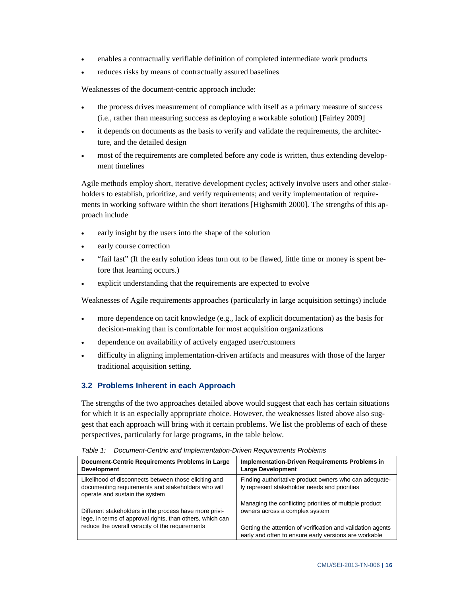- enables a contractually verifiable definition of completed intermediate work products
- reduces risks by means of contractually assured baselines

Weaknesses of the document-centric approach include:

- the process drives measurement of compliance with itself as a primary measure of success (i.e., rather than measuring success as deploying a workable solution) [Fairley 2009]
- it depends on documents as the basis to verify and validate the requirements, the architecture, and the detailed design
- most of the requirements are completed before any code is written, thus extending development timelines

Agile methods employ short, iterative development cycles; actively involve users and other stakeholders to establish, prioritize, and verify requirements; and verify implementation of requirements in working software within the short iterations [Highsmith 2000]. The strengths of this approach include

- early insight by the users into the shape of the solution
- early course correction
- "fail fast" (If the early solution ideas turn out to be flawed, little time or money is spent before that learning occurs.)
- explicit understanding that the requirements are expected to evolve

Weaknesses of Agile requirements approaches (particularly in large acquisition settings) include

- $\bullet$  more dependence on tacit knowledge (e.g., lack of explicit documentation) as the basis for decision-making than is comfortable for most acquisition organizations
- dependence on availability of actively engaged user/customers
- difficulty in aligning implementation-driven artifacts and measures with those of the larger traditional acquisition setting.

#### **3.2 Problems Inherent in each Approach**

The strengths of the two approaches detailed above would suggest that each has certain situations for which it is an especially appropriate choice. However, the weaknesses listed above also suggest that each approach will bring with it certain problems. We list the problems of each of these perspectives, particularly for large programs, in the table below.

| Document-Centric Requirements Problems in Large                                                                                               | <b>Implementation-Driven Requirements Problems in</b>                                                                |
|-----------------------------------------------------------------------------------------------------------------------------------------------|----------------------------------------------------------------------------------------------------------------------|
| <b>Development</b>                                                                                                                            | <b>Large Development</b>                                                                                             |
| Likelihood of disconnects between those eliciting and<br>documenting requirements and stakeholders who will<br>operate and sustain the system | Finding authoritative product owners who can adequate-<br>ly represent stakeholder needs and priorities              |
| Different stakeholders in the process have more privi-                                                                                        | Managing the conflicting priorities of multiple product                                                              |
| lege, in terms of approval rights, than others, which can                                                                                     | owners across a complex system                                                                                       |
| reduce the overall veracity of the requirements                                                                                               | Getting the attention of verification and validation agents<br>early and often to ensure early versions are workable |

*Table 1: Document-Centric and Implementation-Driven Requirements Problems*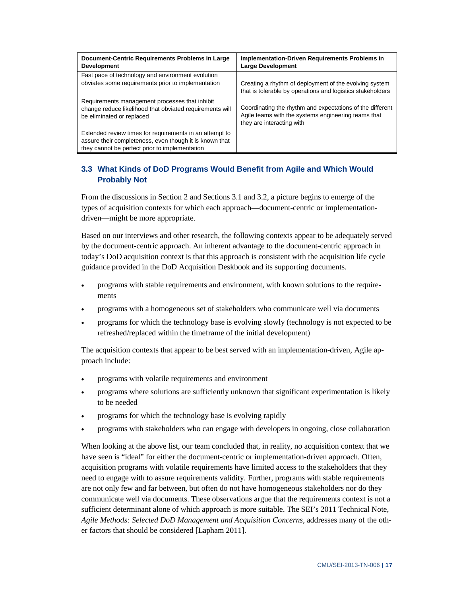| Document-Centric Requirements Problems in Large                                                                                                                      | <b>Implementation-Driven Requirements Problems in</b>      |
|----------------------------------------------------------------------------------------------------------------------------------------------------------------------|------------------------------------------------------------|
| <b>Development</b>                                                                                                                                                   | <b>Large Development</b>                                   |
| Fast pace of technology and environment evolution                                                                                                                    | Creating a rhythm of deployment of the evolving system     |
| obviates some requirements prior to implementation                                                                                                                   | that is tolerable by operations and logistics stakeholders |
| Requirements management processes that inhibit                                                                                                                       | Coordinating the rhythm and expectations of the different  |
| change reduce likelihood that obviated requirements will                                                                                                             | Agile teams with the systems engineering teams that        |
| be eliminated or replaced                                                                                                                                            | they are interacting with                                  |
| Extended review times for requirements in an attempt to<br>assure their completeness, even though it is known that<br>they cannot be perfect prior to implementation |                                                            |

#### **3.3 What Kinds of DoD Programs Would Benefit from Agile and Which Would Probably Not**

From the discussions in Section 2 and Sections 3.1 and 3.2, a picture begins to emerge of the types of acquisition contexts for which each approach—document-centric or implementationdriven—might be more appropriate.

Based on our interviews and other research, the following contexts appear to be adequately served by the document-centric approach. An inherent advantage to the document-centric approach in today's DoD acquisition context is that this approach is consistent with the acquisition life cycle guidance provided in the DoD Acquisition Deskbook and its supporting documents.

- programs with stable requirements and environment, with known solutions to the requirements
- programs with a homogeneous set of stakeholders who communicate well via documents
- programs for which the technology base is evolving slowly (technology is not expected to be refreshed/replaced within the timeframe of the initial development)

The acquisition contexts that appear to be best served with an implementation-driven, Agile approach include:

- programs with volatile requirements and environment
- programs where solutions are sufficiently unknown that significant experimentation is likely to be needed
- programs for which the technology base is evolving rapidly
- programs with stakeholders who can engage with developers in ongoing, close collaboration

When looking at the above list, our team concluded that, in reality, no acquisition context that we have seen is "ideal" for either the document-centric or implementation-driven approach. Often, acquisition programs with volatile requirements have limited access to the stakeholders that they need to engage with to assure requirements validity. Further, programs with stable requirements are not only few and far between, but often do not have homogeneous stakeholders nor do they communicate well via documents. These observations argue that the requirements context is not a sufficient determinant alone of which approach is more suitable. The SEI's 2011 Technical Note, *Agile Methods: Selected DoD Management and Acquisition Concerns,* addresses many of the other factors that should be considered [Lapham 2011].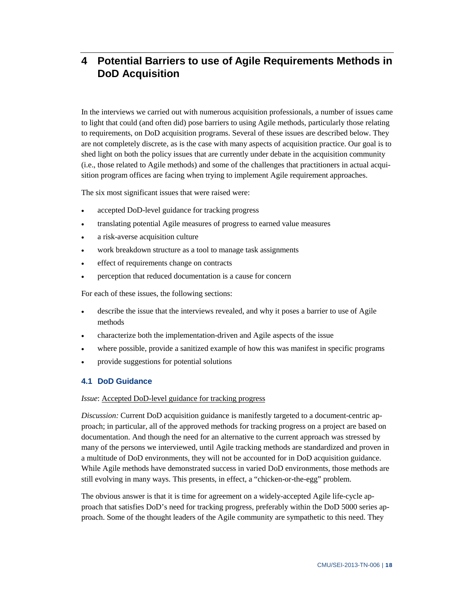### **4 Potential Barriers to use of Agile Requirements Methods in DoD Acquisition**

In the interviews we carried out with numerous acquisition professionals, a number of issues came to light that could (and often did) pose barriers to using Agile methods, particularly those relating to requirements, on DoD acquisition programs. Several of these issues are described below. They are not completely discrete, as is the case with many aspects of acquisition practice. Our goal is to shed light on both the policy issues that are currently under debate in the acquisition community (i.e., those related to Agile methods) and some of the challenges that practitioners in actual acquisition program offices are facing when trying to implement Agile requirement approaches.

The six most significant issues that were raised were:

- accepted DoD-level guidance for tracking progress
- translating potential Agile measures of progress to earned value measures
- a risk-averse acquisition culture
- work breakdown structure as a tool to manage task assignments
- effect of requirements change on contracts
- perception that reduced documentation is a cause for concern

For each of these issues, the following sections:

- describe the issue that the interviews revealed, and why it poses a barrier to use of Agile methods
- characterize both the implementation-driven and Agile aspects of the issue
- where possible, provide a sanitized example of how this was manifest in specific programs
- provide suggestions for potential solutions

#### **4.1 DoD Guidance**

#### *Issue*: Accepted DoD-level guidance for tracking progress

*Discussion:* Current DoD acquisition guidance is manifestly targeted to a document-centric approach; in particular, all of the approved methods for tracking progress on a project are based on documentation. And though the need for an alternative to the current approach was stressed by many of the persons we interviewed, until Agile tracking methods are standardized and proven in a multitude of DoD environments, they will not be accounted for in DoD acquisition guidance. While Agile methods have demonstrated success in varied DoD environments, those methods are still evolving in many ways. This presents, in effect, a "chicken-or-the-egg" problem.

The obvious answer is that it is time for agreement on a widely-accepted Agile life-cycle approach that satisfies DoD's need for tracking progress, preferably within the DoD 5000 series approach. Some of the thought leaders of the Agile community are sympathetic to this need. They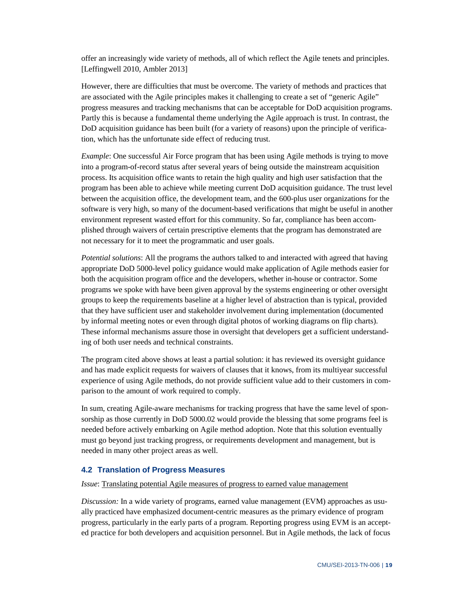offer an increasingly wide variety of methods, all of which reflect the Agile tenets and principles. [Leffingwell 2010, Ambler 2013]

However, there are difficulties that must be overcome. The variety of methods and practices that are associated with the Agile principles makes it challenging to create a set of "generic Agile" progress measures and tracking mechanisms that can be acceptable for DoD acquisition programs. Partly this is because a fundamental theme underlying the Agile approach is trust. In contrast, the DoD acquisition guidance has been built (for a variety of reasons) upon the principle of verification, which has the unfortunate side effect of reducing trust.

*Example*: One successful Air Force program that has been using Agile methods is trying to move into a program-of-record status after several years of being outside the mainstream acquisition process. Its acquisition office wants to retain the high quality and high user satisfaction that the program has been able to achieve while meeting current DoD acquisition guidance. The trust level between the acquisition office, the development team, and the 600-plus user organizations for the software is very high, so many of the document-based verifications that might be useful in another environment represent wasted effort for this community. So far, compliance has been accomplished through waivers of certain prescriptive elements that the program has demonstrated are not necessary for it to meet the programmatic and user goals.

*Potential solutions*: All the programs the authors talked to and interacted with agreed that having appropriate DoD 5000-level policy guidance would make application of Agile methods easier for both the acquisition program office and the developers, whether in-house or contractor. Some programs we spoke with have been given approval by the systems engineering or other oversight groups to keep the requirements baseline at a higher level of abstraction than is typical, provided that they have sufficient user and stakeholder involvement during implementation (documented by informal meeting notes or even through digital photos of working diagrams on flip charts). These informal mechanisms assure those in oversight that developers get a sufficient understanding of both user needs and technical constraints.

The program cited above shows at least a partial solution: it has reviewed its oversight guidance and has made explicit requests for waivers of clauses that it knows, from its multiyear successful experience of using Agile methods, do not provide sufficient value add to their customers in comparison to the amount of work required to comply.

In sum, creating Agile-aware mechanisms for tracking progress that have the same level of sponsorship as those currently in DoD 5000.02 would provide the blessing that some programs feel is needed before actively embarking on Agile method adoption. Note that this solution eventually must go beyond just tracking progress, or requirements development and management, but is needed in many other project areas as well.

#### **4.2 Translation of Progress Measures**

#### *Issue*: Translating potential Agile measures of progress to earned value management

*Discussion:* In a wide variety of programs, earned value management (EVM) approaches as usually practiced have emphasized document-centric measures as the primary evidence of program progress, particularly in the early parts of a program. Reporting progress using EVM is an accepted practice for both developers and acquisition personnel. But in Agile methods, the lack of focus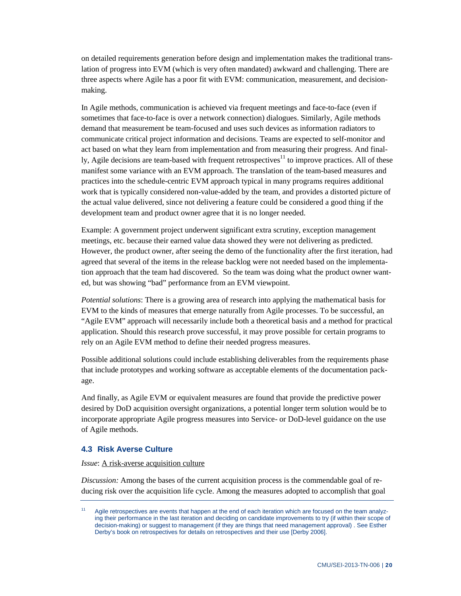on detailed requirements generation before design and implementation makes the traditional translation of progress into EVM (which is very often mandated) awkward and challenging. There are three aspects where Agile has a poor fit with EVM: communication, measurement, and decisionmaking.

In Agile methods, communication is achieved via frequent meetings and face-to-face (even if sometimes that face-to-face is over a network connection) dialogues. Similarly, Agile methods demand that measurement be team-focused and uses such devices as information radiators to communicate critical project information and decisions. Teams are expected to self-monitor and act based on what they learn from implementation and from measuring their progress. And finally, Agile decisions are team-based with frequent retrospectives $11$  to improve practices. All of these manifest some variance with an EVM approach. The translation of the team-based measures and practices into the schedule-centric EVM approach typical in many programs requires additional work that is typically considered non-value-added by the team, and provides a distorted picture of the actual value delivered, since not delivering a feature could be considered a good thing if the development team and product owner agree that it is no longer needed.

Example: A government project underwent significant extra scrutiny, exception management meetings, etc. because their earned value data showed they were not delivering as predicted. However, the product owner, after seeing the demo of the functionality after the first iteration, had agreed that several of the items in the release backlog were not needed based on the implementation approach that the team had discovered. So the team was doing what the product owner wanted, but was showing "bad" performance from an EVM viewpoint.

*Potential solutions*: There is a growing area of research into applying the mathematical basis for EVM to the kinds of measures that emerge naturally from Agile processes. To be successful, an "Agile EVM" approach will necessarily include both a theoretical basis and a method for practical application. Should this research prove successful, it may prove possible for certain programs to rely on an Agile EVM method to define their needed progress measures.

Possible additional solutions could include establishing deliverables from the requirements phase that include prototypes and working software as acceptable elements of the documentation package.

And finally, as Agile EVM or equivalent measures are found that provide the predictive power desired by DoD acquisition oversight organizations, a potential longer term solution would be to incorporate appropriate Agile progress measures into Service- or DoD-level guidance on the use of Agile methods.

#### **4.3 Risk Averse Culture**

#### *Issue*: A risk-averse acquisition culture

*Discussion:* Among the bases of the current acquisition process is the commendable goal of reducing risk over the acquisition life cycle. Among the measures adopted to accomplish that goal

Agile retrospectives are events that happen at the end of each iteration which are focused on the team analyzing their performance in the last iteration and deciding on candidate improvements to try (if within their scope of decision-making) or suggest to management (if they are things that need management approval) . See Esther Derby's book on retrospectives for details on retrospectives and their use [Derby 2006].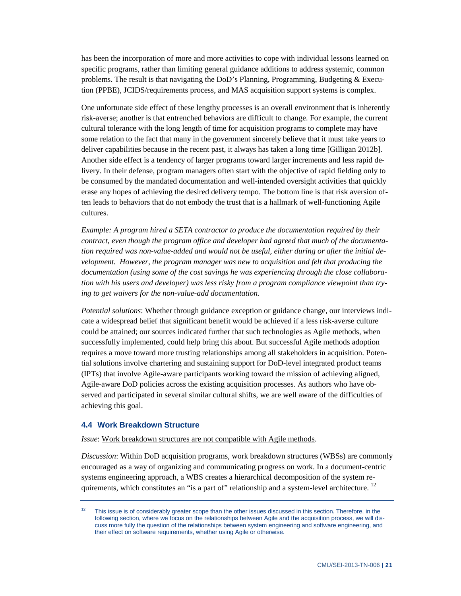has been the incorporation of more and more activities to cope with individual lessons learned on specific programs, rather than limiting general guidance additions to address systemic, common problems. The result is that navigating the DoD's Planning, Programming, Budgeting & Execution (PPBE), JCIDS/requirements process, and MAS acquisition support systems is complex.

One unfortunate side effect of these lengthy processes is an overall environment that is inherently risk-averse; another is that entrenched behaviors are difficult to change. For example, the current cultural tolerance with the long length of time for acquisition programs to complete may have some relation to the fact that many in the government sincerely believe that it must take years to deliver capabilities because in the recent past, it always has taken a long time [Gilligan 2012b]. Another side effect is a tendency of larger programs toward larger increments and less rapid delivery. In their defense, program managers often start with the objective of rapid fielding only to be consumed by the mandated documentation and well-intended oversight activities that quickly erase any hopes of achieving the desired delivery tempo. The bottom line is that risk aversion often leads to behaviors that do not embody the trust that is a hallmark of well-functioning Agile cultures.

*Example: A program hired a SETA contractor to produce the documentation required by their contract, even though the program office and developer had agreed that much of the documentation required was non-value-added and would not be useful, either during or after the initial development. However, the program manager was new to acquisition and felt that producing the documentation (using some of the cost savings he was experiencing through the close collaboration with his users and developer) was less risky from a program compliance viewpoint than trying to get waivers for the non-value-add documentation.* 

*Potential solutions*: Whether through guidance exception or guidance change, our interviews indicate a widespread belief that significant benefit would be achieved if a less risk-averse culture could be attained; our sources indicated further that such technologies as Agile methods, when successfully implemented, could help bring this about. But successful Agile methods adoption requires a move toward more trusting relationships among all stakeholders in acquisition. Potential solutions involve chartering and sustaining support for DoD-level integrated product teams (IPTs) that involve Agile-aware participants working toward the mission of achieving aligned, Agile-aware DoD policies across the existing acquisition processes. As authors who have observed and participated in several similar cultural shifts, we are well aware of the difficulties of achieving this goal.

#### **4.4 Work Breakdown Structure**

#### *Issue*: Work breakdown structures are not compatible with Agile methods.

*Discussion*: Within DoD acquisition programs, work breakdown structures (WBSs) are commonly encouraged as a way of organizing and communicating progress on work. In a document-centric systems engineering approach, a WBS creates a hierarchical decomposition of the system requirements, which constitutes an "is a part of" relationship and a system-level architecture. <sup>12</sup>

<sup>&</sup>lt;sup>12</sup> This issue is of considerably greater scope than the other issues discussed in this section. Therefore, in the following section, where we focus on the relationships between Agile and the acquisition process, we will discuss more fully the question of the relationships between system engineering and software engineering, and their effect on software requirements, whether using Agile or otherwise.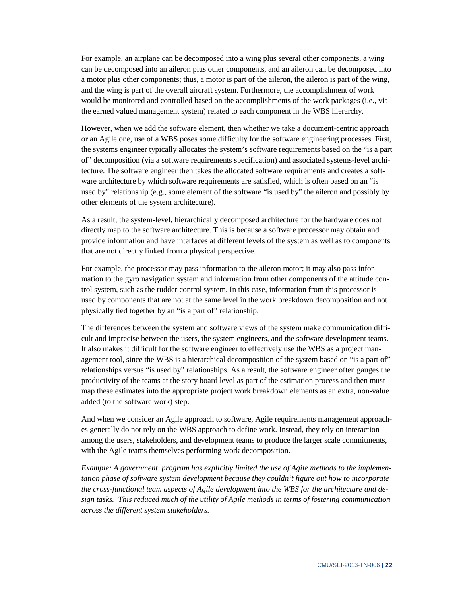For example, an airplane can be decomposed into a wing plus several other components, a wing can be decomposed into an aileron plus other components, and an aileron can be decomposed into a motor plus other components; thus, a motor is part of the aileron, the aileron is part of the wing, and the wing is part of the overall aircraft system. Furthermore, the accomplishment of work would be monitored and controlled based on the accomplishments of the work packages (i.e., via the earned valued management system) related to each component in the WBS hierarchy.

However, when we add the software element, then whether we take a document-centric approach or an Agile one, use of a WBS poses some difficulty for the software engineering processes. First, the systems engineer typically allocates the system's software requirements based on the "is a part of" decomposition (via a software requirements specification) and associated systems-level architecture. The software engineer then takes the allocated software requirements and creates a software architecture by which software requirements are satisfied, which is often based on an "is used by" relationship (e.g., some element of the software "is used by" the aileron and possibly by other elements of the system architecture).

As a result, the system-level, hierarchically decomposed architecture for the hardware does not directly map to the software architecture. This is because a software processor may obtain and provide information and have interfaces at different levels of the system as well as to components that are not directly linked from a physical perspective.

For example, the processor may pass information to the aileron motor; it may also pass information to the gyro navigation system and information from other components of the attitude control system, such as the rudder control system. In this case, information from this processor is used by components that are not at the same level in the work breakdown decomposition and not physically tied together by an "is a part of" relationship.

The differences between the system and software views of the system make communication difficult and imprecise between the users, the system engineers, and the software development teams. It also makes it difficult for the software engineer to effectively use the WBS as a project management tool, since the WBS is a hierarchical decomposition of the system based on "is a part of" relationships versus "is used by" relationships. As a result, the software engineer often gauges the productivity of the teams at the story board level as part of the estimation process and then must map these estimates into the appropriate project work breakdown elements as an extra, non-value added (to the software work) step.

And when we consider an Agile approach to software, Agile requirements management approaches generally do not rely on the WBS approach to define work. Instead, they rely on interaction among the users, stakeholders, and development teams to produce the larger scale commitments, with the Agile teams themselves performing work decomposition.

*Example: A government program has explicitly limited the use of Agile methods to the implementation phase of software system development because they couldn't figure out how to incorporate the cross-functional team aspects of Agile development into the WBS for the architecture and design tasks. This reduced much of the utility of Agile methods in terms of fostering communication across the different system stakeholders.*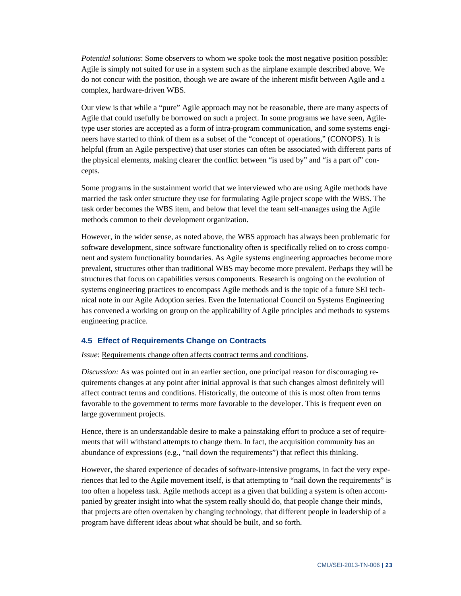*Potential solutions*: Some observers to whom we spoke took the most negative position possible: Agile is simply not suited for use in a system such as the airplane example described above. We do not concur with the position, though we are aware of the inherent misfit between Agile and a complex, hardware-driven WBS.

Our view is that while a "pure" Agile approach may not be reasonable, there are many aspects of Agile that could usefully be borrowed on such a project. In some programs we have seen, Agiletype user stories are accepted as a form of intra-program communication, and some systems engineers have started to think of them as a subset of the "concept of operations," (CONOPS). It is helpful (from an Agile perspective) that user stories can often be associated with different parts of the physical elements, making clearer the conflict between "is used by" and "is a part of" concepts.

Some programs in the sustainment world that we interviewed who are using Agile methods have married the task order structure they use for formulating Agile project scope with the WBS. The task order becomes the WBS item, and below that level the team self-manages using the Agile methods common to their development organization.

However, in the wider sense, as noted above, the WBS approach has always been problematic for software development, since software functionality often is specifically relied on to cross component and system functionality boundaries. As Agile systems engineering approaches become more prevalent, structures other than traditional WBS may become more prevalent. Perhaps they will be structures that focus on capabilities versus components. Research is ongoing on the evolution of systems engineering practices to encompass Agile methods and is the topic of a future SEI technical note in our Agile Adoption series. Even the International Council on Systems Engineering has convened a working on group on the applicability of Agile principles and methods to systems engineering practice.

#### **4.5 Effect of Requirements Change on Contracts**

*Issue*: Requirements change often affects contract terms and conditions.

*Discussion:* As was pointed out in an earlier section, one principal reason for discouraging requirements changes at any point after initial approval is that such changes almost definitely will affect contract terms and conditions. Historically, the outcome of this is most often from terms favorable to the government to terms more favorable to the developer. This is frequent even on large government projects.

Hence, there is an understandable desire to make a painstaking effort to produce a set of requirements that will withstand attempts to change them. In fact, the acquisition community has an abundance of expressions (e.g., "nail down the requirements") that reflect this thinking.

However, the shared experience of decades of software-intensive programs, in fact the very experiences that led to the Agile movement itself, is that attempting to "nail down the requirements" is too often a hopeless task. Agile methods accept as a given that building a system is often accompanied by greater insight into what the system really should do, that people change their minds, that projects are often overtaken by changing technology, that different people in leadership of a program have different ideas about what should be built, and so forth.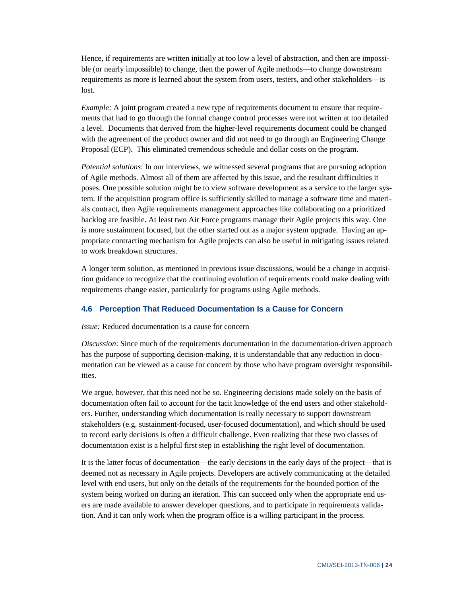Hence, if requirements are written initially at too low a level of abstraction, and then are impossible (or nearly impossible) to change, then the power of Agile methods—to change downstream requirements as more is learned about the system from users, testers, and other stakeholders—is lost.

*Example:* A joint program created a new type of requirements document to ensure that requirements that had to go through the formal change control processes were not written at too detailed a level. Documents that derived from the higher-level requirements document could be changed with the agreement of the product owner and did not need to go through an Engineering Change Proposal (ECP). This eliminated tremendous schedule and dollar costs on the program.

*Potential solutions*: In our interviews, we witnessed several programs that are pursuing adoption of Agile methods. Almost all of them are affected by this issue, and the resultant difficulties it poses. One possible solution might be to view software development as a service to the larger system. If the acquisition program office is sufficiently skilled to manage a software time and materials contract, then Agile requirements management approaches like collaborating on a prioritized backlog are feasible. At least two Air Force programs manage their Agile projects this way. One is more sustainment focused, but the other started out as a major system upgrade. Having an appropriate contracting mechanism for Agile projects can also be useful in mitigating issues related to work breakdown structures.

A longer term solution, as mentioned in previous issue discussions, would be a change in acquisition guidance to recognize that the continuing evolution of requirements could make dealing with requirements change easier, particularly for programs using Agile methods.

#### **4.6 Perception That Reduced Documentation Is a Cause for Concern**

#### *Issue:* Reduced documentation is a cause for concern

*Discussion*: Since much of the requirements documentation in the documentation-driven approach has the purpose of supporting decision-making, it is understandable that any reduction in documentation can be viewed as a cause for concern by those who have program oversight responsibilities.

We argue, however, that this need not be so. Engineering decisions made solely on the basis of documentation often fail to account for the tacit knowledge of the end users and other stakeholders. Further, understanding which documentation is really necessary to support downstream stakeholders (e.g. sustainment-focused, user-focused documentation), and which should be used to record early decisions is often a difficult challenge. Even realizing that these two classes of documentation exist is a helpful first step in establishing the right level of documentation.

It is the latter focus of documentation—the early decisions in the early days of the project—that is deemed not as necessary in Agile projects. Developers are actively communicating at the detailed level with end users, but only on the details of the requirements for the bounded portion of the system being worked on during an iteration. This can succeed only when the appropriate end users are made available to answer developer questions, and to participate in requirements validation. And it can only work when the program office is a willing participant in the process.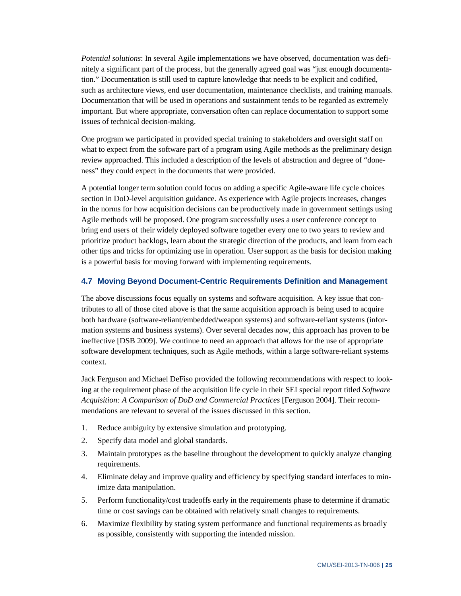*Potential solutions*: In several Agile implementations we have observed, documentation was definitely a significant part of the process, but the generally agreed goal was "just enough documentation." Documentation is still used to capture knowledge that needs to be explicit and codified, such as architecture views, end user documentation, maintenance checklists, and training manuals. Documentation that will be used in operations and sustainment tends to be regarded as extremely important. But where appropriate, conversation often can replace documentation to support some issues of technical decision-making.

One program we participated in provided special training to stakeholders and oversight staff on what to expect from the software part of a program using Agile methods as the preliminary design review approached. This included a description of the levels of abstraction and degree of "doneness" they could expect in the documents that were provided.

A potential longer term solution could focus on adding a specific Agile-aware life cycle choices section in DoD-level acquisition guidance. As experience with Agile projects increases, changes in the norms for how acquisition decisions can be productively made in government settings using Agile methods will be proposed. One program successfully uses a user conference concept to bring end users of their widely deployed software together every one to two years to review and prioritize product backlogs, learn about the strategic direction of the products, and learn from each other tips and tricks for optimizing use in operation. User support as the basis for decision making is a powerful basis for moving forward with implementing requirements.

#### **4.7 Moving Beyond Document-Centric Requirements Definition and Management**

The above discussions focus equally on systems and software acquisition. A key issue that contributes to all of those cited above is that the same acquisition approach is being used to acquire both hardware (software-reliant/embedded/weapon systems) and software-reliant systems (information systems and business systems). Over several decades now, this approach has proven to be ineffective [DSB 2009]. We continue to need an approach that allows for the use of appropriate software development techniques, such as Agile methods, within a large software-reliant systems context.

Jack Ferguson and Michael DeFiso provided the following recommendations with respect to looking at the requirement phase of the acquisition life cycle in their SEI special report titled *Software Acquisition: A Comparison of DoD and Commercial Practices* [Ferguson 2004]. Their recommendations are relevant to several of the issues discussed in this section.

- 1. Reduce ambiguity by extensive simulation and prototyping.
- 2. Specify data model and global standards.
- 3. Maintain prototypes as the baseline throughout the development to quickly analyze changing requirements.
- 4. Eliminate delay and improve quality and efficiency by specifying standard interfaces to minimize data manipulation.
- 5. Perform functionality/cost tradeoffs early in the requirements phase to determine if dramatic time or cost savings can be obtained with relatively small changes to requirements.
- 6. Maximize flexibility by stating system performance and functional requirements as broadly as possible, consistently with supporting the intended mission.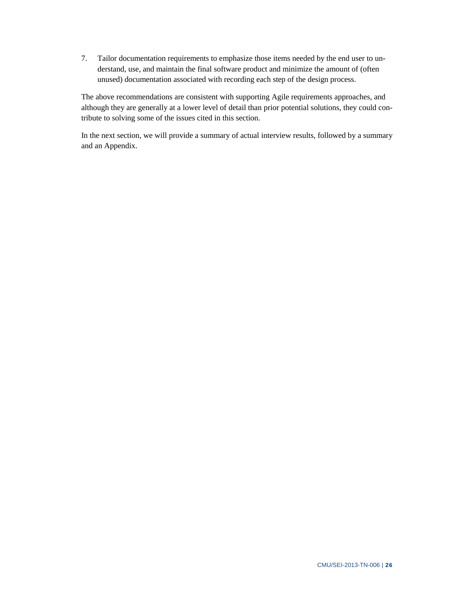7. Tailor documentation requirements to emphasize those items needed by the end user to understand, use, and maintain the final software product and minimize the amount of (often unused) documentation associated with recording each step of the design process.

The above recommendations are consistent with supporting Agile requirements approaches, and although they are generally at a lower level of detail than prior potential solutions, they could contribute to solving some of the issues cited in this section.

In the next section, we will provide a summary of actual interview results, followed by a summary and an Appendix.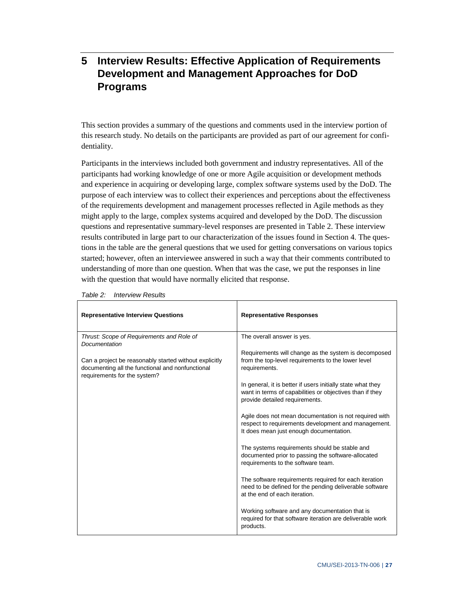### **5 Interview Results: Effective Application of Requirements Development and Management Approaches for DoD Programs**

This section provides a summary of the questions and comments used in the interview portion of this research study. No details on the participants are provided as part of our agreement for confidentiality.

Participants in the interviews included both government and industry representatives. All of the participants had working knowledge of one or more Agile acquisition or development methods and experience in acquiring or developing large, complex software systems used by the DoD. The purpose of each interview was to collect their experiences and perceptions about the effectiveness of the requirements development and management processes reflected in Agile methods as they might apply to the large, complex systems acquired and developed by the DoD. The discussion questions and representative summary-level responses are presented in Table 2. These interview results contributed in large part to our characterization of the issues found in Section 4. The questions in the table are the general questions that we used for getting conversations on various topics started; however, often an interviewee answered in such a way that their comments contributed to understanding of more than one question. When that was the case, we put the responses in line with the question that would have normally elicited that response.

| <b>Representative Interview Questions</b>                                                                                                  | <b>Representative Responses</b>                                                                                                                           |
|--------------------------------------------------------------------------------------------------------------------------------------------|-----------------------------------------------------------------------------------------------------------------------------------------------------------|
| Thrust: Scope of Requirements and Role of<br>Documentation                                                                                 | The overall answer is yes.                                                                                                                                |
| Can a project be reasonably started without explicitly<br>documenting all the functional and nonfunctional<br>requirements for the system? | Requirements will change as the system is decomposed<br>from the top-level requirements to the lower level<br>requirements.                               |
|                                                                                                                                            | In general, it is better if users initially state what they<br>want in terms of capabilities or objectives than if they<br>provide detailed requirements. |
|                                                                                                                                            | Agile does not mean documentation is not required with<br>respect to requirements development and management.<br>It does mean just enough documentation.  |
|                                                                                                                                            | The systems requirements should be stable and<br>documented prior to passing the software-allocated<br>requirements to the software team.                 |
|                                                                                                                                            | The software requirements required for each iteration<br>need to be defined for the pending deliverable software<br>at the end of each iteration.         |
|                                                                                                                                            | Working software and any documentation that is<br>required for that software iteration are deliverable work<br>products.                                  |

#### *Table 2: Interview Results*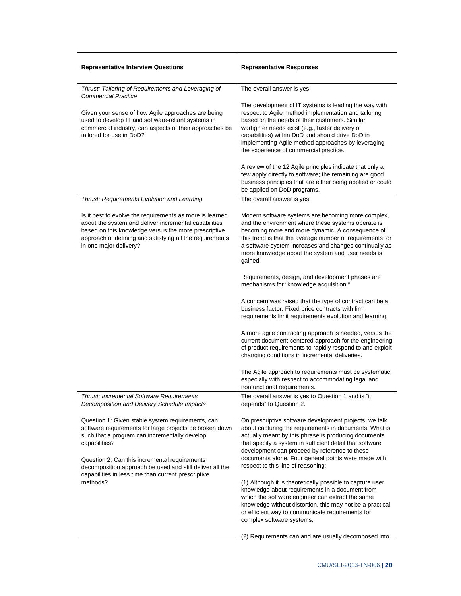| <b>Representative Interview Questions</b>                                                                                                                                                                                                                                            | <b>Representative Responses</b>                                                                                                                                                                                                                                                                                                                                                                              |  |  |
|--------------------------------------------------------------------------------------------------------------------------------------------------------------------------------------------------------------------------------------------------------------------------------------|--------------------------------------------------------------------------------------------------------------------------------------------------------------------------------------------------------------------------------------------------------------------------------------------------------------------------------------------------------------------------------------------------------------|--|--|
| Thrust: Tailoring of Requirements and Leveraging of<br><b>Commercial Practice</b><br>Given your sense of how Agile approaches are being<br>used to develop IT and software-reliant systems in<br>commercial industry, can aspects of their approaches be<br>tailored for use in DoD? | The overall answer is yes.<br>The development of IT systems is leading the way with<br>respect to Agile method implementation and tailoring<br>based on the needs of their customers. Similar<br>warfighter needs exist (e.g., faster delivery of<br>capabilities) within DoD and should drive DoD in<br>implementing Agile method approaches by leveraging<br>the experience of commercial practice.        |  |  |
|                                                                                                                                                                                                                                                                                      | A review of the 12 Agile principles indicate that only a<br>few apply directly to software; the remaining are good<br>business principles that are either being applied or could<br>be applied on DoD programs.                                                                                                                                                                                              |  |  |
| Thrust: Requirements Evolution and Learning                                                                                                                                                                                                                                          | The overall answer is yes.                                                                                                                                                                                                                                                                                                                                                                                   |  |  |
| Is it best to evolve the requirements as more is learned<br>about the system and deliver incremental capabilities<br>based on this knowledge versus the more prescriptive<br>approach of defining and satisfying all the requirements<br>in one major delivery?                      | Modern software systems are becoming more complex,<br>and the environment where these systems operate is<br>becoming more and more dynamic. A consequence of<br>this trend is that the average number of requirements for<br>a software system increases and changes continually as<br>more knowledge about the system and user needs is<br>gained.                                                          |  |  |
|                                                                                                                                                                                                                                                                                      | Requirements, design, and development phases are<br>mechanisms for "knowledge acquisition."                                                                                                                                                                                                                                                                                                                  |  |  |
|                                                                                                                                                                                                                                                                                      | A concern was raised that the type of contract can be a<br>business factor. Fixed price contracts with firm<br>requirements limit requirements evolution and learning.                                                                                                                                                                                                                                       |  |  |
|                                                                                                                                                                                                                                                                                      | A more agile contracting approach is needed, versus the<br>current document-centered approach for the engineering<br>of product requirements to rapidly respond to and exploit<br>changing conditions in incremental deliveries.                                                                                                                                                                             |  |  |
|                                                                                                                                                                                                                                                                                      | The Agile approach to requirements must be systematic,<br>especially with respect to accommodating legal and<br>nonfunctional requirements.                                                                                                                                                                                                                                                                  |  |  |
| Thrust: Incremental Software Requirements<br>Decomposition and Delivery Schedule Impacts                                                                                                                                                                                             | The overall answer is yes to Question 1 and is "it<br>depends" to Question 2.                                                                                                                                                                                                                                                                                                                                |  |  |
| Question 1: Given stable system requirements, can<br>software requirements for large projects be broken down<br>such that a program can incrementally develop<br>capabilities?<br>Question 2: Can this incremental requirements                                                      | On prescriptive software development projects, we talk<br>about capturing the requirements in documents. What is<br>actually meant by this phrase is producing documents<br>that specify a system in sufficient detail that software<br>development can proceed by reference to these<br>documents alone. Four general points were made with                                                                 |  |  |
| decomposition approach be used and still deliver all the<br>capabilities in less time than current prescriptive<br>methods?                                                                                                                                                          | respect to this line of reasoning:<br>(1) Although it is theoretically possible to capture user<br>knowledge about requirements in a document from<br>which the software engineer can extract the same<br>knowledge without distortion, this may not be a practical<br>or efficient way to communicate requirements for<br>complex software systems.<br>(2) Requirements can and are usually decomposed into |  |  |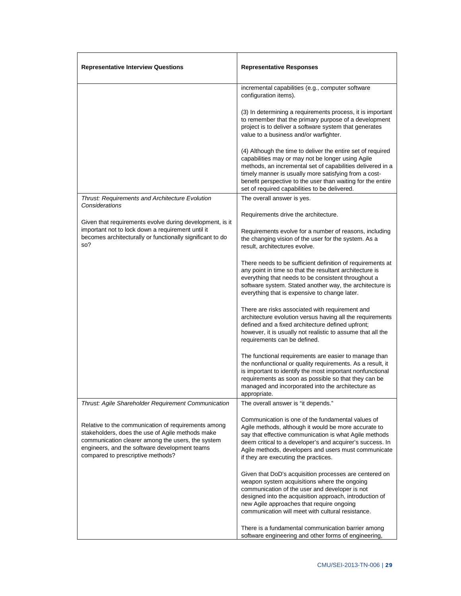| <b>Representative Interview Questions</b>                                                                                                                                                                                                          | <b>Representative Responses</b>                                                                                                                                                                                                                                                                                                                         |  |  |  |
|----------------------------------------------------------------------------------------------------------------------------------------------------------------------------------------------------------------------------------------------------|---------------------------------------------------------------------------------------------------------------------------------------------------------------------------------------------------------------------------------------------------------------------------------------------------------------------------------------------------------|--|--|--|
|                                                                                                                                                                                                                                                    | incremental capabilities (e.g., computer software<br>configuration items).                                                                                                                                                                                                                                                                              |  |  |  |
|                                                                                                                                                                                                                                                    | (3) In determining a requirements process, it is important<br>to remember that the primary purpose of a development<br>project is to deliver a software system that generates<br>value to a business and/or warfighter.                                                                                                                                 |  |  |  |
|                                                                                                                                                                                                                                                    | (4) Although the time to deliver the entire set of required<br>capabilities may or may not be longer using Agile<br>methods, an incremental set of capabilities delivered in a<br>timely manner is usually more satisfying from a cost-<br>benefit perspective to the user than waiting for the entire<br>set of required capabilities to be delivered. |  |  |  |
| <b>Thrust: Requirements and Architecture Evolution</b><br>Considerations                                                                                                                                                                           | The overall answer is yes.                                                                                                                                                                                                                                                                                                                              |  |  |  |
|                                                                                                                                                                                                                                                    | Requirements drive the architecture.                                                                                                                                                                                                                                                                                                                    |  |  |  |
| Given that requirements evolve during development, is it<br>important not to lock down a requirement until it<br>becomes architecturally or functionally significant to do<br>so?                                                                  | Requirements evolve for a number of reasons, including<br>the changing vision of the user for the system. As a<br>result, architectures evolve.                                                                                                                                                                                                         |  |  |  |
|                                                                                                                                                                                                                                                    | There needs to be sufficient definition of requirements at<br>any point in time so that the resultant architecture is<br>everything that needs to be consistent throughout a<br>software system. Stated another way, the architecture is<br>everything that is expensive to change later.                                                               |  |  |  |
|                                                                                                                                                                                                                                                    | There are risks associated with requirement and<br>architecture evolution versus having all the requirements<br>defined and a fixed architecture defined upfront;<br>however, it is usually not realistic to assume that all the<br>requirements can be defined.                                                                                        |  |  |  |
|                                                                                                                                                                                                                                                    | The functional requirements are easier to manage than<br>the nonfunctional or quality requirements. As a result, it<br>is important to identify the most important nonfunctional<br>requirements as soon as possible so that they can be<br>managed and incorporated into the architecture as<br>appropriate.                                           |  |  |  |
| Thrust: Agile Shareholder Requirement Communication                                                                                                                                                                                                | The overall answer is "it depends."                                                                                                                                                                                                                                                                                                                     |  |  |  |
| Relative to the communication of requirements among<br>stakeholders, does the use of Agile methods make<br>communication clearer among the users, the system<br>engineers, and the software development teams<br>compared to prescriptive methods? | Communication is one of the fundamental values of<br>Agile methods, although it would be more accurate to<br>say that effective communication is what Agile methods<br>deem critical to a developer's and acquirer's success. In<br>Agile methods, developers and users must communicate<br>if they are executing the practices.                        |  |  |  |
|                                                                                                                                                                                                                                                    | Given that DoD's acquisition processes are centered on<br>weapon system acquisitions where the ongoing<br>communication of the user and developer is not<br>designed into the acquisition approach, introduction of<br>new Agile approaches that require ongoing<br>communication will meet with cultural resistance.                                   |  |  |  |
|                                                                                                                                                                                                                                                    | There is a fundamental communication barrier among<br>software engineering and other forms of engineering,                                                                                                                                                                                                                                              |  |  |  |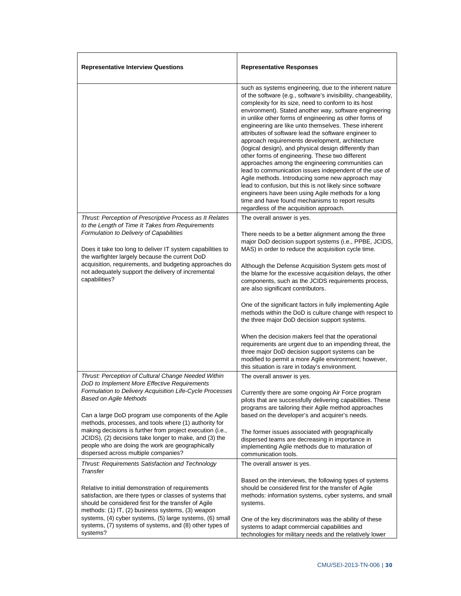| <b>Representative Interview Questions</b>                                                                                                                                                                                                                                                                                                                                                                                                                                                                                           | <b>Representative Responses</b>                                                                                                                                                                                                                                                                                                                                                                                                                                                                                                                                                                                                                                                                                                                                                                                                                                                                                                                                          |  |  |
|-------------------------------------------------------------------------------------------------------------------------------------------------------------------------------------------------------------------------------------------------------------------------------------------------------------------------------------------------------------------------------------------------------------------------------------------------------------------------------------------------------------------------------------|--------------------------------------------------------------------------------------------------------------------------------------------------------------------------------------------------------------------------------------------------------------------------------------------------------------------------------------------------------------------------------------------------------------------------------------------------------------------------------------------------------------------------------------------------------------------------------------------------------------------------------------------------------------------------------------------------------------------------------------------------------------------------------------------------------------------------------------------------------------------------------------------------------------------------------------------------------------------------|--|--|
|                                                                                                                                                                                                                                                                                                                                                                                                                                                                                                                                     | such as systems engineering, due to the inherent nature<br>of the software (e.g., software's invisibility, changeability,<br>complexity for its size, need to conform to its host<br>environment). Stated another way, software engineering<br>in unlike other forms of engineering as other forms of<br>engineering are like unto themselves. These inherent<br>attributes of software lead the software engineer to<br>approach requirements development, architecture<br>(logical design), and physical design differently than<br>other forms of engineering. These two different<br>approaches among the engineering communities can<br>lead to communication issues independent of the use of<br>Agile methods. Introducing some new approach may<br>lead to confusion, but this is not likely since software<br>engineers have been using Agile methods for a long<br>time and have found mechanisms to report results<br>regardless of the acquisition approach. |  |  |
| Thrust: Perception of Prescriptive Process as It Relates<br>to the Length of Time It Takes from Requirements<br>Formulation to Delivery of Capabilities<br>Does it take too long to deliver IT system capabilities to<br>the warfighter largely because the current DoD<br>acquisition, requirements, and budgeting approaches do<br>not adequately support the delivery of incremental<br>capabilities?                                                                                                                            | The overall answer is yes.<br>There needs to be a better alignment among the three<br>major DoD decision support systems (i.e., PPBE, JCIDS,<br>MAS) in order to reduce the acquisition cycle time.<br>Although the Defense Acquisition System gets most of<br>the blame for the excessive acquisition delays, the other<br>components, such as the JCIDS requirements process,<br>are also significant contributors.                                                                                                                                                                                                                                                                                                                                                                                                                                                                                                                                                    |  |  |
|                                                                                                                                                                                                                                                                                                                                                                                                                                                                                                                                     | One of the significant factors in fully implementing Agile<br>methods within the DoD is culture change with respect to<br>the three major DoD decision support systems.<br>When the decision makers feel that the operational<br>requirements are urgent due to an impending threat, the<br>three major DoD decision support systems can be<br>modified to permit a more Agile environment; however,<br>this situation is rare in today's environment.                                                                                                                                                                                                                                                                                                                                                                                                                                                                                                                   |  |  |
| Thrust: Perception of Cultural Change Needed Within<br>DoD to Implement More Effective Requirements<br>Formulation to Delivery Acquisition Life-Cycle Processes<br><b>Based on Agile Methods</b><br>Can a large DoD program use components of the Agile<br>methods, processes, and tools where (1) authority for<br>making decisions is further from project execution (i.e.,<br>JCIDS), (2) decisions take longer to make, and (3) the<br>people who are doing the work are geographically<br>dispersed across multiple companies? | The overall answer is yes.<br>Currently there are some ongoing Air Force program<br>pilots that are successfully delivering capabilities. These<br>programs are tailoring their Agile method approaches<br>based on the developer's and acquirer's needs.<br>The former issues associated with geographically<br>dispersed teams are decreasing in importance in<br>implementing Agile methods due to maturation of<br>communication tools.                                                                                                                                                                                                                                                                                                                                                                                                                                                                                                                              |  |  |
| <b>Thrust: Requirements Satisfaction and Technology</b><br>Transfer<br>Relative to initial demonstration of requirements<br>satisfaction, are there types or classes of systems that<br>should be considered first for the transfer of Agile<br>methods: (1) IT, (2) business systems, (3) weapon<br>systems, (4) cyber systems, (5) large systems, (6) small<br>systems, (7) systems of systems, and (8) other types of                                                                                                            | The overall answer is yes.<br>Based on the interviews, the following types of systems<br>should be considered first for the transfer of Agile<br>methods: information systems, cyber systems, and small<br>systems.<br>One of the key discriminators was the ability of these<br>systems to adapt commercial capabilities and                                                                                                                                                                                                                                                                                                                                                                                                                                                                                                                                                                                                                                            |  |  |
| systems?                                                                                                                                                                                                                                                                                                                                                                                                                                                                                                                            | technologies for military needs and the relatively lower                                                                                                                                                                                                                                                                                                                                                                                                                                                                                                                                                                                                                                                                                                                                                                                                                                                                                                                 |  |  |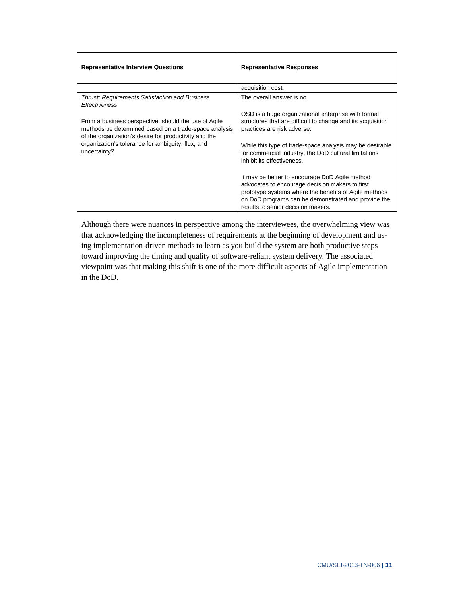| <b>Representative Interview Questions</b>                                                                                                                              | <b>Representative Responses</b>                                                                                                                                                                                                                         |
|------------------------------------------------------------------------------------------------------------------------------------------------------------------------|---------------------------------------------------------------------------------------------------------------------------------------------------------------------------------------------------------------------------------------------------------|
|                                                                                                                                                                        | acquisition cost.                                                                                                                                                                                                                                       |
| <b>Thrust: Requirements Satisfaction and Business</b><br><b>Fffectiveness</b>                                                                                          | The overall answer is no.                                                                                                                                                                                                                               |
| From a business perspective, should the use of Agile<br>methods be determined based on a trade-space analysis<br>of the organization's desire for productivity and the | OSD is a huge organizational enterprise with formal<br>structures that are difficult to change and its acquisition<br>practices are risk adverse.                                                                                                       |
| organization's tolerance for ambiguity, flux, and<br>uncertainty?                                                                                                      | While this type of trade-space analysis may be desirable<br>for commercial industry, the DoD cultural limitations<br>inhibit its effectiveness.                                                                                                         |
|                                                                                                                                                                        | It may be better to encourage DoD Agile method<br>advocates to encourage decision makers to first<br>prototype systems where the benefits of Agile methods<br>on DoD programs can be demonstrated and provide the<br>results to senior decision makers. |

Although there were nuances in perspective among the interviewees, the overwhelming view was that acknowledging the incompleteness of requirements at the beginning of development and using implementation-driven methods to learn as you build the system are both productive steps toward improving the timing and quality of software-reliant system delivery. The associated viewpoint was that making this shift is one of the more difficult aspects of Agile implementation in the DoD.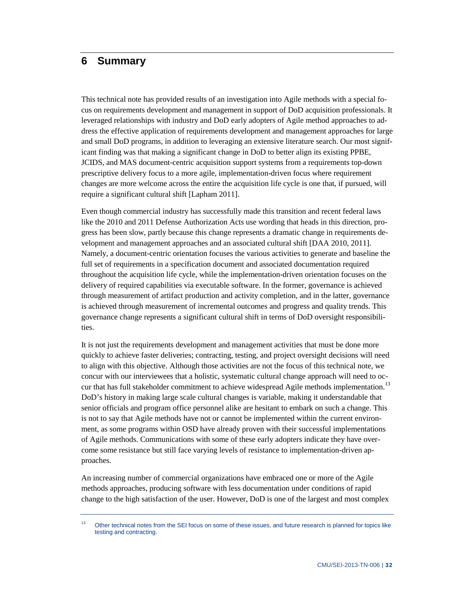### **6 Summary**

This technical note has provided results of an investigation into Agile methods with a special focus on requirements development and management in support of DoD acquisition professionals. It leveraged relationships with industry and DoD early adopters of Agile method approaches to address the effective application of requirements development and management approaches for large and small DoD programs, in addition to leveraging an extensive literature search. Our most significant finding was that making a significant change in DoD to better align its existing PPBE, JCIDS, and MAS document-centric acquisition support systems from a requirements top-down prescriptive delivery focus to a more agile, implementation-driven focus where requirement changes are more welcome across the entire the acquisition life cycle is one that, if pursued, will require a significant cultural shift [Lapham 2011].

Even though commercial industry has successfully made this transition and recent federal laws like the 2010 and 2011 Defense Authorization Acts use wording that heads in this direction, progress has been slow, partly because this change represents a dramatic change in requirements development and management approaches and an associated cultural shift [DAA 2010, 2011]. Namely, a document-centric orientation focuses the various activities to generate and baseline the full set of requirements in a specification document and associated documentation required throughout the acquisition life cycle, while the implementation-driven orientation focuses on the delivery of required capabilities via executable software. In the former, governance is achieved through measurement of artifact production and activity completion, and in the latter, governance is achieved through measurement of incremental outcomes and progress and quality trends. This governance change represents a significant cultural shift in terms of DoD oversight responsibilities.

It is not just the requirements development and management activities that must be done more quickly to achieve faster deliveries; contracting, testing, and project oversight decisions will need to align with this objective. Although those activities are not the focus of this technical note, we concur with our interviewees that a holistic, systematic cultural change approach will need to occur that has full stakeholder commitment to achieve widespread Agile methods implementation.<sup>13</sup> DoD's history in making large scale cultural changes is variable, making it understandable that senior officials and program office personnel alike are hesitant to embark on such a change. This is not to say that Agile methods have not or cannot be implemented within the current environment, as some programs within OSD have already proven with their successful implementations of Agile methods. Communications with some of these early adopters indicate they have overcome some resistance but still face varying levels of resistance to implementation-driven approaches.

An increasing number of commercial organizations have embraced one or more of the Agile methods approaches, producing software with less documentation under conditions of rapid change to the high satisfaction of the user. However, DoD is one of the largest and most complex

<sup>&</sup>lt;sup>13</sup> Other technical notes from the SEI focus on some of these issues, and future research is planned for topics like testing and contracting.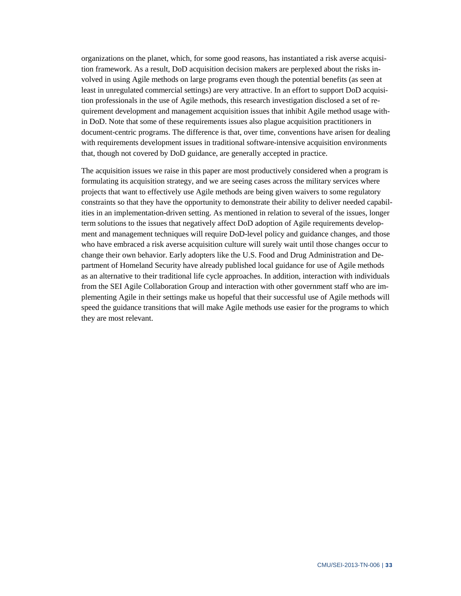organizations on the planet, which, for some good reasons, has instantiated a risk averse acquisition framework. As a result, DoD acquisition decision makers are perplexed about the risks involved in using Agile methods on large programs even though the potential benefits (as seen at least in unregulated commercial settings) are very attractive. In an effort to support DoD acquisition professionals in the use of Agile methods, this research investigation disclosed a set of requirement development and management acquisition issues that inhibit Agile method usage within DoD. Note that some of these requirements issues also plague acquisition practitioners in document-centric programs. The difference is that, over time, conventions have arisen for dealing with requirements development issues in traditional software-intensive acquisition environments that, though not covered by DoD guidance, are generally accepted in practice.

The acquisition issues we raise in this paper are most productively considered when a program is formulating its acquisition strategy, and we are seeing cases across the military services where projects that want to effectively use Agile methods are being given waivers to some regulatory constraints so that they have the opportunity to demonstrate their ability to deliver needed capabilities in an implementation-driven setting. As mentioned in relation to several of the issues, longer term solutions to the issues that negatively affect DoD adoption of Agile requirements development and management techniques will require DoD-level policy and guidance changes, and those who have embraced a risk averse acquisition culture will surely wait until those changes occur to change their own behavior. Early adopters like the U.S. Food and Drug Administration and Department of Homeland Security have already published local guidance for use of Agile methods as an alternative to their traditional life cycle approaches. In addition, interaction with individuals from the SEI Agile Collaboration Group and interaction with other government staff who are implementing Agile in their settings make us hopeful that their successful use of Agile methods will speed the guidance transitions that will make Agile methods use easier for the programs to which they are most relevant.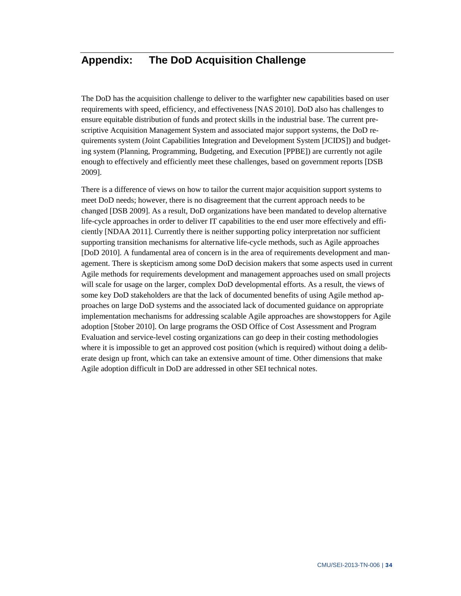### **Appendix: The DoD Acquisition Challenge**

The DoD has the acquisition challenge to deliver to the warfighter new capabilities based on user requirements with speed, efficiency, and effectiveness [NAS 2010]. DoD also has challenges to ensure equitable distribution of funds and protect skills in the industrial base. The current prescriptive Acquisition Management System and associated major support systems, the DoD requirements system (Joint Capabilities Integration and Development System [JCIDS]) and budgeting system (Planning, Programming, Budgeting, and Execution [PPBE]) are currently not agile enough to effectively and efficiently meet these challenges, based on government reports [DSB 2009].

There is a difference of views on how to tailor the current major acquisition support systems to meet DoD needs; however, there is no disagreement that the current approach needs to be changed [DSB 2009]. As a result, DoD organizations have been mandated to develop alternative life-cycle approaches in order to deliver IT capabilities to the end user more effectively and efficiently [NDAA 2011]. Currently there is neither supporting policy interpretation nor sufficient supporting transition mechanisms for alternative life-cycle methods, such as Agile approaches [DoD 2010]. A fundamental area of concern is in the area of requirements development and management. There is skepticism among some DoD decision makers that some aspects used in current Agile methods for requirements development and management approaches used on small projects will scale for usage on the larger, complex DoD developmental efforts. As a result, the views of some key DoD stakeholders are that the lack of documented benefits of using Agile method approaches on large DoD systems and the associated lack of documented guidance on appropriate implementation mechanisms for addressing scalable Agile approaches are showstoppers for Agile adoption [Stober 2010]. On large programs the OSD Office of Cost Assessment and Program Evaluation and service-level costing organizations can go deep in their costing methodologies where it is impossible to get an approved cost position (which is required) without doing a deliberate design up front, which can take an extensive amount of time. Other dimensions that make Agile adoption difficult in DoD are addressed in other SEI technical notes.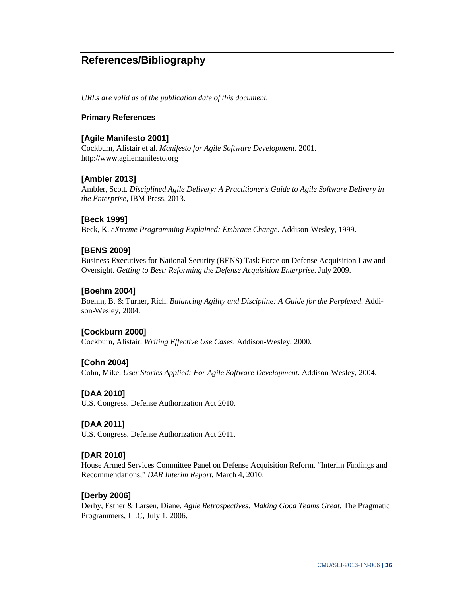### **References/Bibliography**

*URLs are valid as of the publication date of this document.* 

#### **Primary References**

#### **[Agile Manifesto 2001]**

Cockburn, Alistair et al. *Manifesto for Agile Software Development*. 2001. <http://www.agilemanifesto.org>

#### **[Ambler 2013]**

Ambler, Scott. *Disciplined Agile Delivery: A Practitioner's Guide to Agile Software Delivery in the Enterprise,* IBM Press, 2013.

#### **[Beck 1999]**

Beck, K. *eXtreme Programming Explained: Embrace Change*. Addison-Wesley, 1999.

#### **[BENS 2009]**

Business Executives for National Security (BENS) Task Force on Defense Acquisition Law and Oversight. *Getting to Best: Reforming the Defense Acquisition Enterprise*. July 2009.

#### **[Boehm 2004]**

Boehm, B. & Turner, Rich. *Balancing Agility and Discipline: A Guide for the Perplexed*. Addison-Wesley, 2004.

#### **[Cockburn 2000]**

Cockburn, Alistair. *Writing Effective Use Cases*. Addison-Wesley, 2000.

#### **[Cohn 2004]**

Cohn, Mike. *User Stories Applied: For Agile Software Development*. Addison-Wesley, 2004.

#### **[DAA 2010]**

U.S. Congress. Defense Authorization Act 2010.

#### **[DAA 2011]**

U.S. Congress. Defense Authorization Act 2011.

#### **[DAR 2010]**

House Armed Services Committee Panel on Defense Acquisition Reform. "Interim Findings and Recommendations," *DAR Interim Report.* March 4, 2010.

#### **[Derby 2006]**

Derby, Esther & Larsen, Diane. *Agile Retrospectives: Making Good Teams Great.* The Pragmatic Programmers, LLC, July 1, 2006.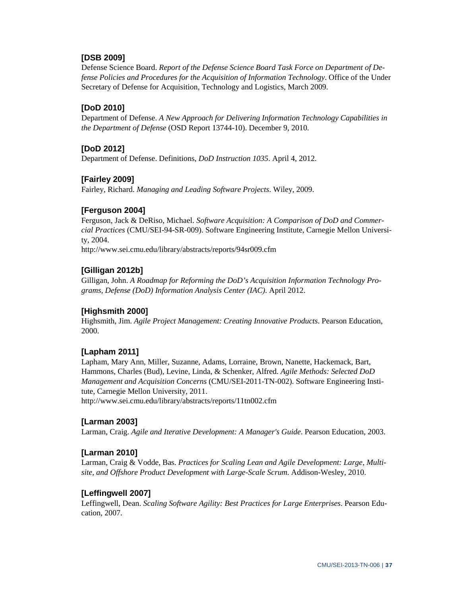#### **[DSB 2009]**

Defense Science Board. *Report of the Defense Science Board Task Force on Department of Defense Policies and Procedures for the Acquisition of Information Technology*. Office of the Under Secretary of Defense for Acquisition, Technology and Logistics, March 2009.

#### **[DoD 2010]**

Department of Defense. *A New Approach for Delivering Information Technology Capabilities in the Department of Defense* (OSD Report 13744-10). December 9, 2010.

#### **[DoD 2012]**

Department of Defense. Definitions, *DoD Instruction 1035*. April 4, 2012.

#### **[Fairley 2009]**

Fairley, Richard. *Managing and Leading Software Projects*. Wiley, 2009.

#### **[Ferguson 2004]**

Ferguson, Jack & DeRiso, Michael. *Software Acquisition: A Comparison of DoD and Commercial Practices* (CMU/SEI-94-SR-009). Software Engineering Institute, Carnegie Mellon University, 2004.

<http://www.sei.cmu.edu/library/abstracts/reports/94sr009.cfm>

#### **[Gilligan 2012b]**

Gilligan, John. *A Roadmap for Reforming the DoD's Acquisition Information Technology Programs, Defense (DoD) Information Analysis Center (IAC)*. April 2012.

#### **[Highsmith 2000]**

Highsmith, Jim. *Agile Project Management: Creating Innovative Products*. Pearson Education, 2000.

#### **[Lapham 2011]**

Lapham, Mary Ann, Miller, Suzanne, Adams, Lorraine, Brown, Nanette, Hackemack, Bart, Hammons, Charles (Bud), Levine, Linda, & Schenker, Alfred. *Agile Methods: Selected DoD Management and Acquisition Concerns* (CMU/SEI-2011-TN-002). Software Engineering Institute, Carnegie Mellon University, 2011.

<http://www.sei.cmu.edu/library/abstracts/reports/11tn002.cfm>

#### **[Larman 2003]**

Larman, Craig. *Agile and Iterative Development: A Manager's Guide*. Pearson Education, 2003.

#### **[Larman 2010]**

Larman, Craig & Vodde, Bas. *Practices for Scaling Lean and Agile Development: Large, Multisite, and Offshore Product Development with Large-Scale Scrum*. Addison-Wesley, 2010.

#### **[Leffingwell 2007]**

Leffingwell, Dean. *Scaling Software Agility: Best Practices for Large Enterprises*. Pearson Education, 2007.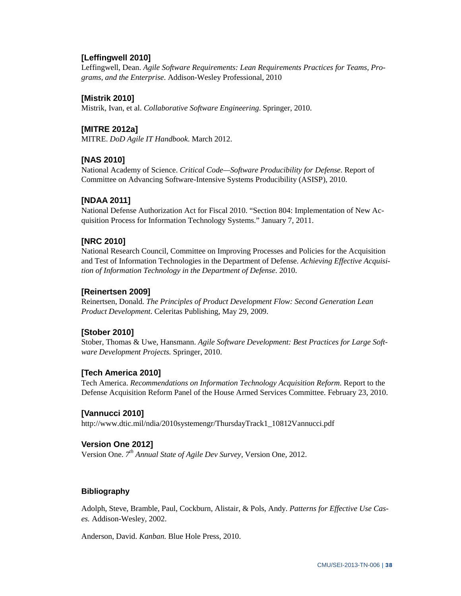#### **[Leffingwell 2010]**

Leffingwell, Dean. *Agile Software Requirements: Lean Requirements Practices for Teams, Programs, and the Enterprise*. Addison-Wesley Professional, 2010

#### **[Mistrik 2010]**

Mistrik, Ivan, et al. *Collaborative Software Engineering*. Springer, 2010.

#### **[MITRE 2012a]**

MITRE. *DoD Agile IT Handbook*. March 2012.

#### **[NAS 2010]**

National Academy of Science. *Critical Code—Software Producibility for Defense*. Report of Committee on Advancing Software-Intensive Systems Producibility (ASISP), 2010.

#### **[NDAA 2011]**

National Defense Authorization Act for Fiscal 2010. "Section 804: Implementation of New Acquisition Process for Information Technology Systems." January 7, 2011.

#### **[NRC 2010]**

National Research Council, Committee on Improving Processes and Policies for the Acquisition and Test of Information Technologies in the Department of Defense. *Achieving Effective Acquisition of Information Technology in the Department of Defense.* 2010.

#### **[Reinertsen 2009]**

Reinertsen, Donald. *The Principles of Product Development Flow: Second Generation Lean Product Development*. Celeritas Publishing, May 29, 2009.

#### **[Stober 2010]**

Stober, Thomas & Uwe, Hansmann. *Agile Software Development: Best Practices for Large Software Development Projects.* Springer, 2010.

#### **[Tech America 2010]**

Tech America. *Recommendations on Information Technology Acquisition Reform.* Report to the Defense Acquisition Reform Panel of the House Armed Services Committee. February 23, 2010.

#### **[Vannucci 2010]**

[http://www.dtic.mil/ndia/2010systemengr/ThursdayTrack1\\_10812Vannucci.pdf](http://www.dtic.mil/ndia/2010systemengr/ThursdayTrack1_10812Vannucci.pdf) 

#### **Version One 2012]**

Version One. *7th Annual State of Agile Dev Survey,* Version One, 2012.

#### **Bibliography**

Adolph, Steve, Bramble, Paul, Cockburn, Alistair, & Pols, Andy. *Patterns for Effective Use Cases.* Addison-Wesley, 2002.

Anderson, David. *Kanban.* Blue Hole Press, 2010.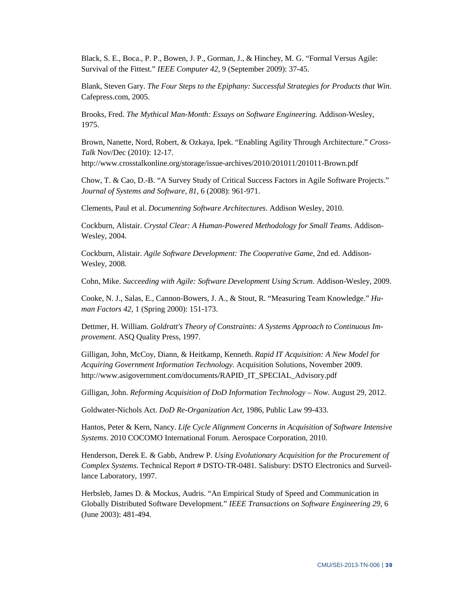Black, S. E., Boca., P. P., Bowen, J. P., Gorman, J., & Hinchey, M. G. "Formal Versus Agile: Survival of the Fittest." *IEEE Computer 42,* 9 (September 2009): 37-45.

Blank, Steven Gary. *The Four Steps to the Epiphany: Successful Strategies for Products that Win*. Cafepress.com, 2005.

Brooks, Fred. *The Mythical Man-Month: Essays on Software Engineering.* Addison-Wesley, 1975.

Brown, Nanette, Nord, Robert, & Ozkaya, Ipek. "Enabling Agility Through Architecture." *Cross-Talk* Nov/Dec (2010): 12-17.

<http://www.crosstalkonline.org/storage/issue-archives/2010/201011/201011-Brown.pdf>

Chow, T. & Cao, D.-B. "A Survey Study of Critical Success Factors in Agile Software Projects." *Journal of Systems and Software, 81,* 6 (2008): 961-971.

Clements, Paul et al. *Documenting Software Architectures*. Addison Wesley, 2010.

Cockburn, Alistair. *Crystal Clear: A Human-Powered Methodology for Small Teams*. Addison-Wesley, 2004.

Cockburn, Alistair. *Agile Software Development: The Cooperative Game*, 2nd ed. Addison-Wesley, 2008.

Cohn, Mike. *Succeeding with Agile: Software Development Using Scrum*. Addison-Wesley, 2009.

Cooke, N. J., Salas, E., Cannon-Bowers, J. A., & Stout, R. "Measuring Team Knowledge." *Human Factors 42,* 1 (Spring 2000): 151-173.

Dettmer, H. William. *Goldratt's Theory of Constraints: A Systems Approach to Continuous Improvement*. ASQ Quality Press, 1997.

Gilligan, John, McCoy, Diann, & Heitkamp, Kenneth. *Rapid IT Acquisition: A New Model for Acquiring Government Information Technology*. Acquisition Solutions, November 2009. [http://www.asigovernment.com/documents/RAPID\\_IT\\_SPECIAL\\_Advisory.pdf](http://www.asigovernment.com/documents/RAPID_IT_SPECIAL_Advisory.pdf) 

Gilligan, John. *Reforming Acquisition of DoD Information Technology – Now*. August 29, 2012.

Goldwater-Nichols Act. *DoD Re-Organization Act*, 1986, Public Law 99-433.

Hantos, Peter & Kern, Nancy. *Life Cycle Alignment Concerns in Acquisition of Software Intensive Systems*. 2010 COCOMO International Forum. Aerospace Corporation, 2010.

Henderson, Derek E. & Gabb, Andrew P. *Using Evolutionary Acquisition for the Procurement of Complex Systems*. Technical Report # DSTO-TR-0481. Salisbury: DSTO Electronics and Surveillance Laboratory, 1997.

Herbsleb, James D. & Mockus, Audris. "An Empirical Study of Speed and Communication in Globally Distributed Software Development." *IEEE Transactions on Software Engineering 29,* 6 (June 2003): 481-494.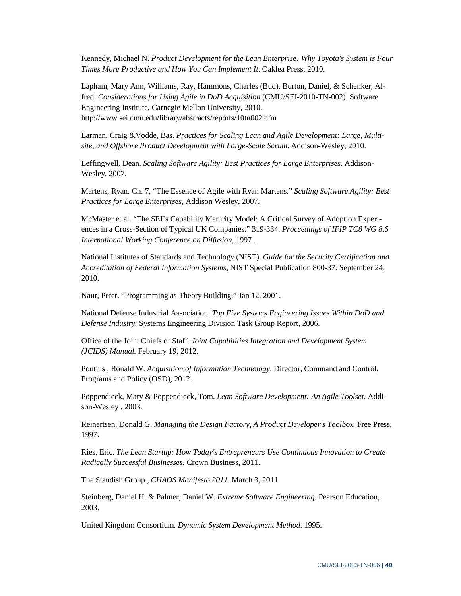Kennedy, Michael N. *Product Development for the Lean Enterprise: Why Toyota's System is Four Times More Productive and How You Can Implement It*. Oaklea Press, 2010.

Lapham, Mary Ann, Williams, Ray, Hammons, Charles (Bud), Burton, Daniel, & Schenker, Alfred. *Considerations for Using Agile in DoD Acquisition* (CMU/SEI-2010-TN-002). Software Engineering Institute, Carnegie Mellon University, 2010. <http://www.sei.cmu.edu/library/abstracts/reports/10tn002.cfm>

Larman, Craig &Vodde, Bas. *Practices for Scaling Lean and Agile Development: Large, Multisite, and Offshore Product Development with Large-Scale Scrum*. Addison-Wesley, 2010.

Leffingwell, Dean. *Scaling Software Agility: Best Practices for Large Enterprises*. Addison-Wesley, 2007.

Martens, Ryan. Ch. 7, "The Essence of Agile with Ryan Martens." *Scaling Software Agility: Best Practices for Large Enterprises*, Addison Wesley, 2007.

McMaster et al. "The SEI's Capability Maturity Model: A Critical Survey of Adoption Experiences in a Cross-Section of Typical UK Companies." 319-334. *Proceedings of IFIP TC8 WG 8.6 International Working Conference on Diffusion*, 1997 .

National Institutes of Standards and Technology (NIST). *Guide for the Security Certification and Accreditation of Federal Information Systems*, NIST Special Publication 800-37. September 24, 2010.

Naur, Peter. "Programming as Theory Building." Jan 12, 2001.

National Defense Industrial Association. *Top Five Systems Engineering Issues Within DoD and Defense Industry.* Systems Engineering Division Task Group Report, 2006.

Office of the Joint Chiefs of Staff. *Joint Capabilities Integration and Development System (JCIDS) Manual.* February 19, 2012.

Pontius , Ronald W. *Acquisition of Information Technology*. Director, Command and Control, Programs and Policy (OSD), 2012.

Poppendieck, Mary & Poppendieck, Tom. *Lean Software Development: An Agile Toolset*. Addison-Wesley , 2003.

Reinertsen, Donald G. *Managing the Design Factory*, *A Product Developer's Toolbox.* Free Press, 1997.

Ries, Eric. *The Lean Startup: How Today's Entrepreneurs Use Continuous Innovation to Create Radically Successful Businesses.* Crown Business, 2011.

The Standish Group , *CHAOS Manifesto 2011*. March 3, 2011.

Steinberg, Daniel H. & Palmer, Daniel W. *Extreme Software Engineering*. Pearson Education, 2003.

United Kingdom Consortium. *Dynamic System Development Method*. 1995.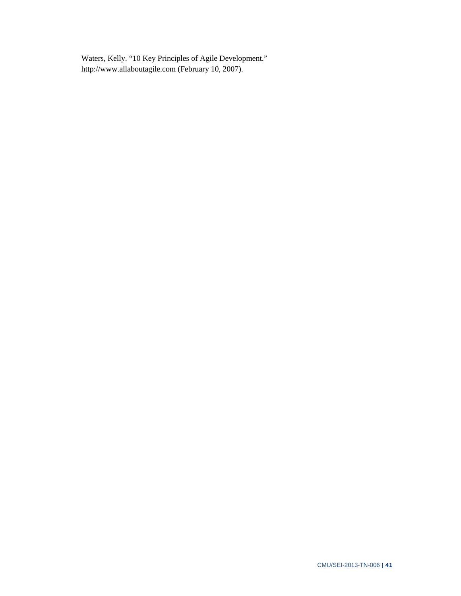Waters, Kelly. "10 Key Principles of Agile Development." [http://www.allaboutagile.com \(F](http://www.allaboutagile.com)ebruary 10, 2007).